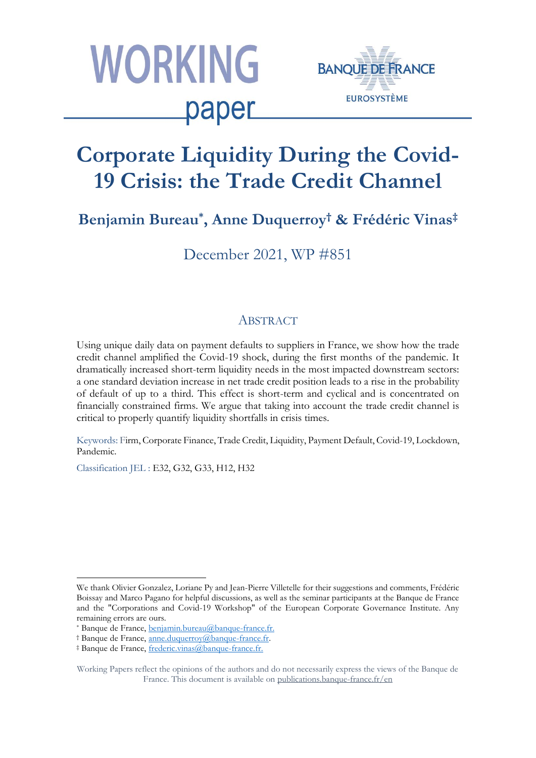



# **Corporate Liquidity During the Covid-19 Crisis: the Trade Credit Channel**

# **Benjamin Bureau\* , Anne Duquerroy† & Frédéric Vinas‡**

December 2021, WP #851

### ABSTRACT

Using unique daily data on payment defaults to suppliers in France, we show how the trade credit channel amplified the Covid-19 shock, during the first months of the pandemic. It dramatically increased short-term liquidity needs in the most impacted downstream sectors: a one standard deviation increase in net trade credit position leads to a rise in the probability of default of up to a third. This effect is short-term and cyclical and is concentrated on financially constrained firms. We argue that taking into account the trade credit channel is critical to properly quantify liquidity shortfalls in crisis times.

Keywords: Firm, Corporate Finance, Trade Credit, Liquidity, Payment Default, Covid-19, Lockdown, Pandemic.

Classification JEL : E32, G32, G33, H12, H32

 $\overline{\phantom{a}}$ We thank Olivier Gonzalez, Loriane Py and Jean-Pierre Villetelle for their suggestions and comments, Frédéric Boissay and Marco Pagano for helpful discussions, as well as the seminar participants at the Banque de France and the "Corporations and Covid-19 Workshop" of the European Corporate Governance Institute. Any remaining errors are ours.

<sup>\*</sup> Banque de France, [benjamin.bureau@banque-france.fr.](benjamin.bureau@banque-france.fr)

<sup>†</sup> Banque de France, [anne.duquerroy@banque-france.fr.](mailto:anne.duquerroy@banque-france.fr)

<sup>‡</sup> Banque de France, [frederic.vinas@banque-france.fr.](mailto:frederic.vinas@banque-france.fr)

Working Papers reflect the opinions of the authors and do not necessarily express the views of the Banque de France. This document is available on [publications.banque-france.fr/en](https://publications.banque-france.fr/en)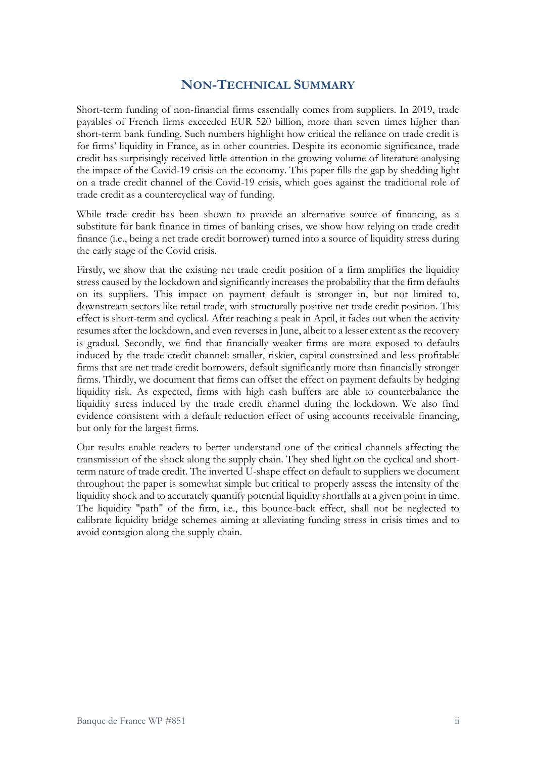### **NON-TECHNICAL SUMMARY**

Short-term funding of non-financial firms essentially comes from suppliers. In 2019, trade payables of French firms exceeded EUR 520 billion, more than seven times higher than short-term bank funding. Such numbers highlight how critical the reliance on trade credit is for firms' liquidity in France, as in other countries. Despite its economic significance, trade credit has surprisingly received little attention in the growing volume of literature analysing the impact of the Covid-19 crisis on the economy. This paper fills the gap by shedding light on a trade credit channel of the Covid-19 crisis, which goes against the traditional role of trade credit as a countercyclical way of funding.

While trade credit has been shown to provide an alternative source of financing, as a substitute for bank finance in times of banking crises, we show how relying on trade credit finance (i.e., being a net trade credit borrower) turned into a source of liquidity stress during the early stage of the Covid crisis.

Firstly, we show that the existing net trade credit position of a firm amplifies the liquidity stress caused by the lockdown and significantly increases the probability that the firm defaults on its suppliers. This impact on payment default is stronger in, but not limited to, downstream sectors like retail trade, with structurally positive net trade credit position. This effect is short-term and cyclical. After reaching a peak in April, it fades out when the activity resumes after the lockdown, and even reverses in June, albeit to a lesser extent as the recovery is gradual. Secondly, we find that financially weaker firms are more exposed to defaults induced by the trade credit channel: smaller, riskier, capital constrained and less profitable firms that are net trade credit borrowers, default significantly more than financially stronger firms. Thirdly, we document that firms can offset the effect on payment defaults by hedging liquidity risk. As expected, firms with high cash buffers are able to counterbalance the liquidity stress induced by the trade credit channel during the lockdown. We also find evidence consistent with a default reduction effect of using accounts receivable financing, but only for the largest firms.

Our results enable readers to better understand one of the critical channels affecting the transmission of the shock along the supply chain. They shed light on the cyclical and shortterm nature of trade credit. The inverted U-shape effect on default to suppliers we document throughout the paper is somewhat simple but critical to properly assess the intensity of the liquidity shock and to accurately quantify potential liquidity shortfalls at a given point in time. The liquidity "path" of the firm, i.e., this bounce-back effect, shall not be neglected to calibrate liquidity bridge schemes aiming at alleviating funding stress in crisis times and to avoid contagion along the supply chain.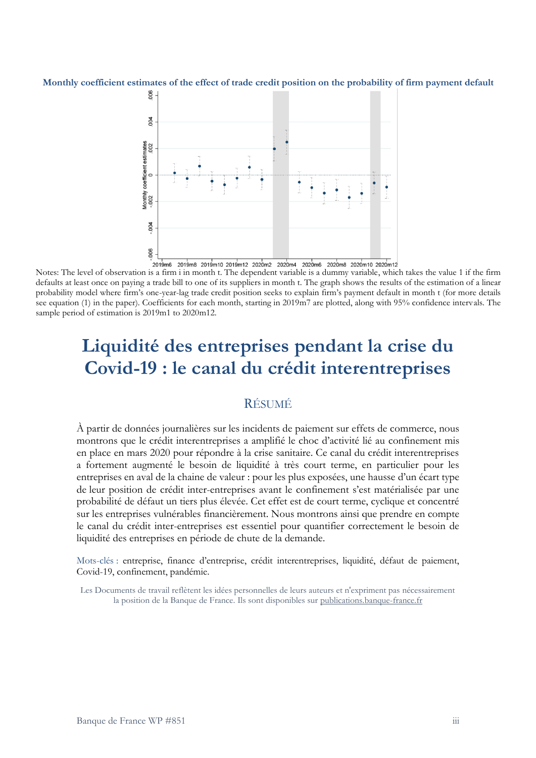#### **Monthly coefficient estimates of the effect of trade credit position on the probability of firm payment default**



Notes: The level of observation is a firm i in month t. The dependent variable is a dummy variable, which takes the value 1 if the firm defaults at least once on paying a trade bill to one of its suppliers in month t. The graph shows the results of the estimation of a linear probability model where firm's one-year-lag trade credit position seeks to explain firm's payment default in month t (for more details see equation (1) in the paper). Coefficients for each month, starting in 2019m7 are plotted, along with 95% confidence intervals. The sample period of estimation is 2019m1 to 2020m12.

# **Liquidité des entreprises pendant la crise du Covid-19 : le canal du crédit interentreprises**

### RÉSUMÉ

À partir de données journalières sur les incidents de paiement sur effets de commerce, nous montrons que le crédit interentreprises a amplifié le choc d'activité lié au confinement mis en place en mars 2020 pour répondre à la crise sanitaire. Ce canal du crédit interentreprises a fortement augmenté le besoin de liquidité à très court terme, en particulier pour les entreprises en aval de la chaine de valeur : pour les plus exposées, une hausse d'un écart type de leur position de crédit inter-entreprises avant le confinement s'est matérialisée par une probabilité de défaut un tiers plus élevée. Cet effet est de court terme, cyclique et concentré sur les entreprises vulnérables financièrement. Nous montrons ainsi que prendre en compte le canal du crédit inter-entreprises est essentiel pour quantifier correctement le besoin de liquidité des entreprises en période de chute de la demande.

Mots-clés : entreprise, finance d'entreprise, crédit interentreprises, liquidité, défaut de paiement, Covid-19, confinement, pandémie.

Les Documents de travail reflètent les idées personnelles de leurs auteurs et n'expriment pas nécessairement la position de la Banque de France. Ils sont disponibles sur<publications.banque-france.fr>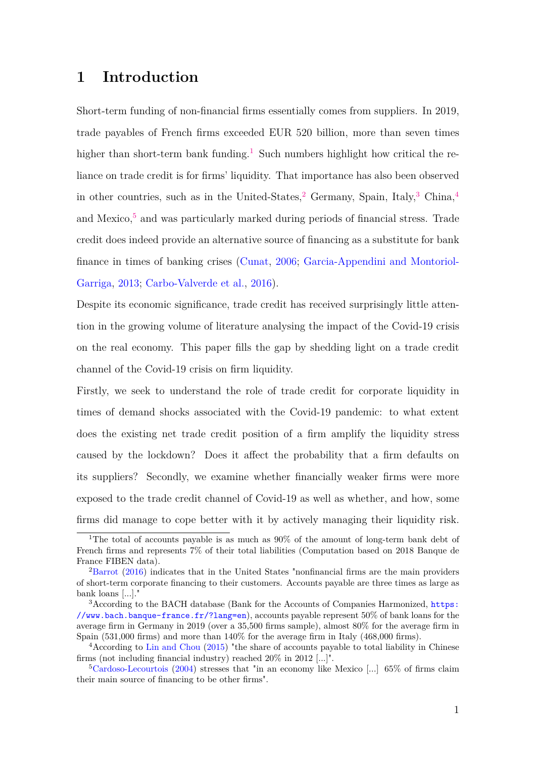### <span id="page-3-0"></span>**1 Introduction**

Short-term funding of non-financial firms essentially comes from suppliers. In 2019, trade payables of French firms exceeded EUR 520 billion, more than seven times higher than short-term bank funding.<sup>1</sup> Such numbers highlight how critical the reliance on trade credit is for firms' liquidity. That importance has also been observed in other countries, such as in the United-States,<sup>2</sup> Germany, Spain, Italy,<sup>3</sup> China,<sup>4</sup> and Mexico, $5$  and was particularly marked during periods of financial stress. Trade credit does indeed provide an alternative source of financing as a substitute for bank finance in times of banking crises [\(Cunat,](#page-35-0) [2006;](#page-35-0) [Garcia-Appendini and Montoriol-](#page-35-1)[Garriga,](#page-35-1) [2013;](#page-35-1) [Carbo-Valverde et al.,](#page-35-2) [2016\)](#page-35-2).

Despite its economic significance, trade credit has received surprisingly little attention in the growing volume of literature analysing the impact of the Covid-19 crisis on the real economy. This paper fills the gap by shedding light on a trade credit channel of the Covid-19 crisis on firm liquidity.

Firstly, we seek to understand the role of trade credit for corporate liquidity in times of demand shocks associated with the Covid-19 pandemic: to what extent does the existing net trade credit position of a firm amplify the liquidity stress caused by the lockdown? Does it affect the probability that a firm defaults on its suppliers? Secondly, we examine whether financially weaker firms were more exposed to the trade credit channel of Covid-19 as well as whether, and how, some firms did manage to cope better with it by actively managing their liquidity risk.

<sup>&</sup>lt;sup>1</sup>The total of accounts payable is as much as  $90\%$  of the amount of long-term bank debt of French firms and represents 7% of their total liabilities (Computation based on 2018 Banque de France FIBEN data).

<sup>&</sup>lt;sup>2</sup>[Barrot](#page-35-3) [\(2016\)](#page-35-3) indicates that in the United States "nonfinancial firms are the main providers of short-term corporate financing to their customers. Accounts payable are three times as large as bank loans [...]."

<sup>&</sup>lt;sup>3</sup> According to the BACH database (Bank for the Accounts of Companies Harmonized, [https:](https://www.bach.banque-france.fr/?lang=en) [//www.bach.banque-france.fr/?lang=en](https://www.bach.banque-france.fr/?lang=en)), accounts payable represent 50% of bank loans for the average firm in Germany in 2019 (over a 35,500 firms sample), almost 80% for the average firm in Spain (531,000 firms) and more than  $140\%$  for the average firm in Italy (468,000 firms).

<sup>4</sup>According to [Lin and Chou](#page-36-0) [\(2015\)](#page-36-0) "the share of accounts payable to total liability in Chinese firms (not including financial industry) reached 20% in 2012 [...]".

 $5$ [Cardoso-Lecourtois](#page-35-4) [\(2004\)](#page-35-4) stresses that "in an economy like Mexico [...] 65% of firms claim their main source of financing to be other firms".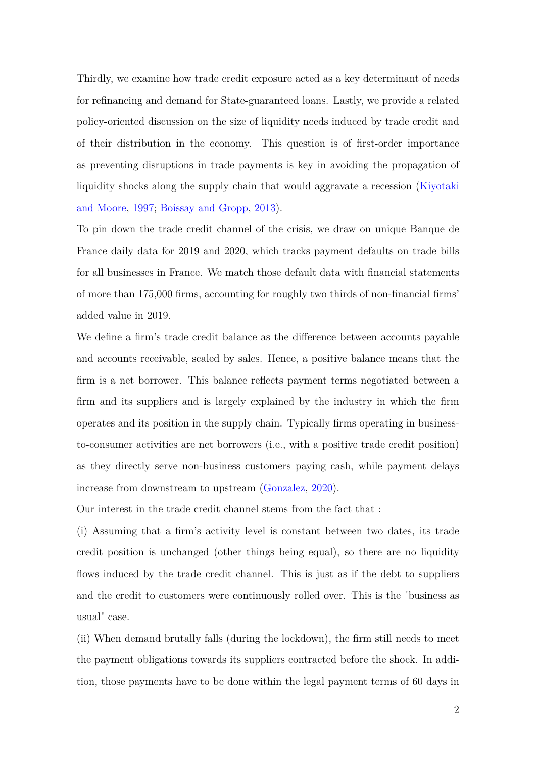Thirdly, we examine how trade credit exposure acted as a key determinant of needs for refinancing and demand for State-guaranteed loans. Lastly, we provide a related policy-oriented discussion on the size of liquidity needs induced by trade credit and of their distribution in the economy. This question is of first-order importance as preventing disruptions in trade payments is key in avoiding the propagation of liquidity shocks along the supply chain that would aggravate a recession [\(Kiyotaki](#page-36-1) [and Moore,](#page-36-1) [1997;](#page-36-1) [Boissay and Gropp,](#page-35-5) [2013\)](#page-35-5).

To pin down the trade credit channel of the crisis, we draw on unique Banque de France daily data for 2019 and 2020, which tracks payment defaults on trade bills for all businesses in France. We match those default data with financial statements of more than 175,000 firms, accounting for roughly two thirds of non-financial firms' added value in 2019.

We define a firm's trade credit balance as the difference between accounts payable and accounts receivable, scaled by sales. Hence, a positive balance means that the firm is a net borrower. This balance reflects payment terms negotiated between a firm and its suppliers and is largely explained by the industry in which the firm operates and its position in the supply chain. Typically firms operating in businessto-consumer activities are net borrowers (i.e., with a positive trade credit position) as they directly serve non-business customers paying cash, while payment delays increase from downstream to upstream [\(Gonzalez,](#page-35-6) [2020\)](#page-35-6).

Our interest in the trade credit channel stems from the fact that :

(i) Assuming that a firm's activity level is constant between two dates, its trade credit position is unchanged (other things being equal), so there are no liquidity flows induced by the trade credit channel. This is just as if the debt to suppliers and the credit to customers were continuously rolled over. This is the "business as usual" case.

(ii) When demand brutally falls (during the lockdown), the firm still needs to meet the payment obligations towards its suppliers contracted before the shock. In addition, those payments have to be done within the legal payment terms of 60 days in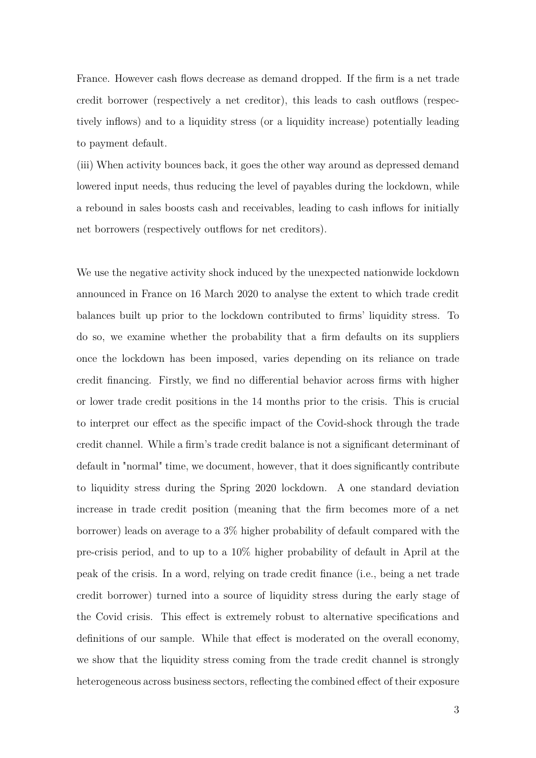France. However cash flows decrease as demand dropped. If the firm is a net trade credit borrower (respectively a net creditor), this leads to cash outflows (respectively inflows) and to a liquidity stress (or a liquidity increase) potentially leading to payment default.

(iii) When activity bounces back, it goes the other way around as depressed demand lowered input needs, thus reducing the level of payables during the lockdown, while a rebound in sales boosts cash and receivables, leading to cash inflows for initially net borrowers (respectively outflows for net creditors).

We use the negative activity shock induced by the unexpected nationwide lockdown announced in France on 16 March 2020 to analyse the extent to which trade credit balances built up prior to the lockdown contributed to firms' liquidity stress. To do so, we examine whether the probability that a firm defaults on its suppliers once the lockdown has been imposed, varies depending on its reliance on trade credit financing. Firstly, we find no differential behavior across firms with higher or lower trade credit positions in the 14 months prior to the crisis. This is crucial to interpret our effect as the specific impact of the Covid-shock through the trade credit channel. While a firm's trade credit balance is not a significant determinant of default in "normal" time, we document, however, that it does significantly contribute to liquidity stress during the Spring 2020 lockdown. A one standard deviation increase in trade credit position (meaning that the firm becomes more of a net borrower) leads on average to a 3% higher probability of default compared with the pre-crisis period, and to up to a 10% higher probability of default in April at the peak of the crisis. In a word, relying on trade credit finance (i.e., being a net trade credit borrower) turned into a source of liquidity stress during the early stage of the Covid crisis. This effect is extremely robust to alternative specifications and definitions of our sample. While that effect is moderated on the overall economy, we show that the liquidity stress coming from the trade credit channel is strongly heterogeneous across business sectors, reflecting the combined effect of their exposure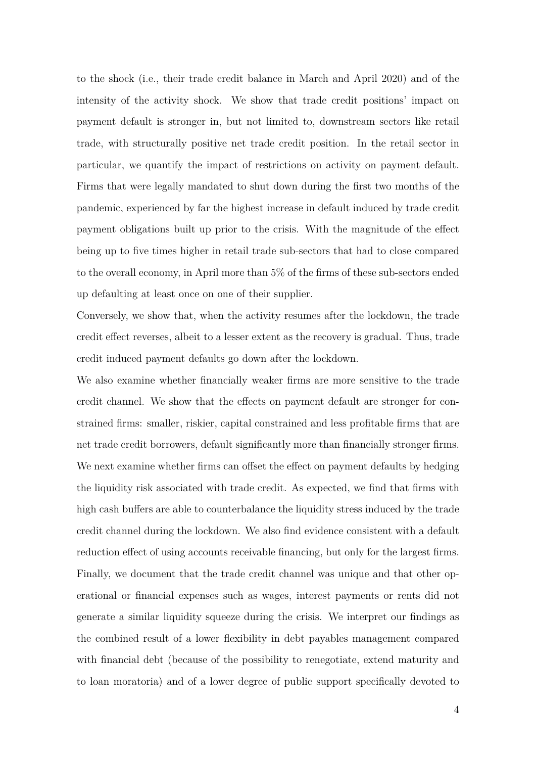to the shock (i.e., their trade credit balance in March and April 2020) and of the intensity of the activity shock. We show that trade credit positions' impact on payment default is stronger in, but not limited to, downstream sectors like retail trade, with structurally positive net trade credit position. In the retail sector in particular, we quantify the impact of restrictions on activity on payment default. Firms that were legally mandated to shut down during the first two months of the pandemic, experienced by far the highest increase in default induced by trade credit payment obligations built up prior to the crisis. With the magnitude of the effect being up to five times higher in retail trade sub-sectors that had to close compared to the overall economy, in April more than 5% of the firms of these sub-sectors ended up defaulting at least once on one of their supplier.

Conversely, we show that, when the activity resumes after the lockdown, the trade credit effect reverses, albeit to a lesser extent as the recovery is gradual. Thus, trade credit induced payment defaults go down after the lockdown.

We also examine whether financially weaker firms are more sensitive to the trade credit channel. We show that the effects on payment default are stronger for constrained firms: smaller, riskier, capital constrained and less profitable firms that are net trade credit borrowers, default significantly more than financially stronger firms. We next examine whether firms can offset the effect on payment defaults by hedging the liquidity risk associated with trade credit. As expected, we find that firms with high cash buffers are able to counterbalance the liquidity stress induced by the trade credit channel during the lockdown. We also find evidence consistent with a default reduction effect of using accounts receivable financing, but only for the largest firms. Finally, we document that the trade credit channel was unique and that other operational or financial expenses such as wages, interest payments or rents did not generate a similar liquidity squeeze during the crisis. We interpret our findings as the combined result of a lower flexibility in debt payables management compared with financial debt (because of the possibility to renegotiate, extend maturity and to loan moratoria) and of a lower degree of public support specifically devoted to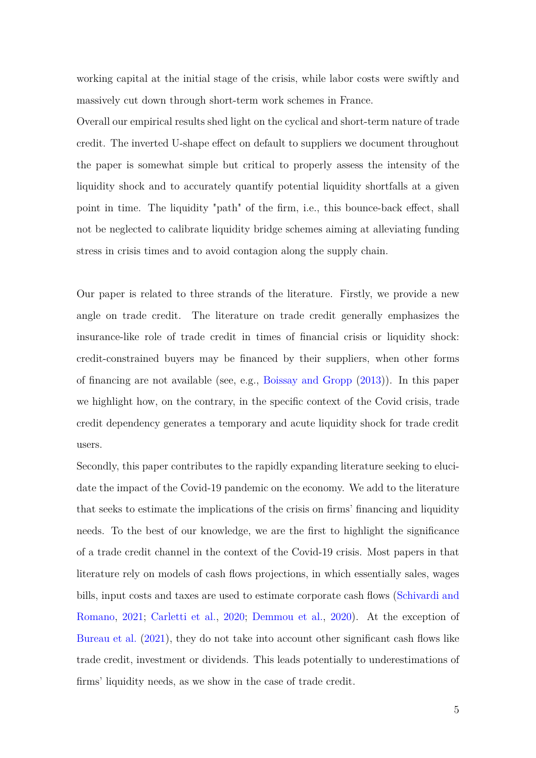working capital at the initial stage of the crisis, while labor costs were swiftly and massively cut down through short-term work schemes in France.

Overall our empirical results shed light on the cyclical and short-term nature of trade credit. The inverted U-shape effect on default to suppliers we document throughout the paper is somewhat simple but critical to properly assess the intensity of the liquidity shock and to accurately quantify potential liquidity shortfalls at a given point in time. The liquidity "path" of the firm, i.e., this bounce-back effect, shall not be neglected to calibrate liquidity bridge schemes aiming at alleviating funding stress in crisis times and to avoid contagion along the supply chain.

Our paper is related to three strands of the literature. Firstly, we provide a new angle on trade credit. The literature on trade credit generally emphasizes the insurance-like role of trade credit in times of financial crisis or liquidity shock: credit-constrained buyers may be financed by their suppliers, when other forms of financing are not available (see, e.g., [Boissay and Gropp](#page-35-5) [\(2013\)](#page-35-5)). In this paper we highlight how, on the contrary, in the specific context of the Covid crisis, trade credit dependency generates a temporary and acute liquidity shock for trade credit users.

Secondly, this paper contributes to the rapidly expanding literature seeking to elucidate the impact of the Covid-19 pandemic on the economy. We add to the literature that seeks to estimate the implications of the crisis on firms' financing and liquidity needs. To the best of our knowledge, we are the first to highlight the significance of a trade credit channel in the context of the Covid-19 crisis. Most papers in that literature rely on models of cash flows projections, in which essentially sales, wages bills, input costs and taxes are used to estimate corporate cash flows [\(Schivardi and](#page-36-2) [Romano,](#page-36-2) [2021;](#page-36-2) [Carletti et al.,](#page-35-7) [2020;](#page-35-7) [Demmou et al.,](#page-35-8) [2020\)](#page-35-8). At the exception of [Bureau et al.](#page-35-9) [\(2021\)](#page-35-9), they do not take into account other significant cash flows like trade credit, investment or dividends. This leads potentially to underestimations of firms' liquidity needs, as we show in the case of trade credit.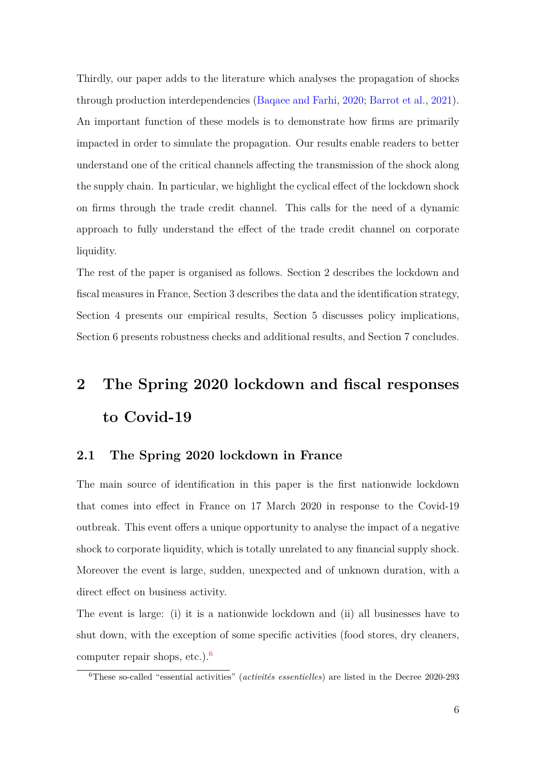Thirdly, our paper adds to the literature which analyses the propagation of shocks through production interdependencies [\(Baqaee and Farhi,](#page-35-10) [2020;](#page-35-10) [Barrot et al.,](#page-35-11) [2021\)](#page-35-11). An important function of these models is to demonstrate how firms are primarily impacted in order to simulate the propagation. Our results enable readers to better understand one of the critical channels affecting the transmission of the shock along the supply chain. In particular, we highlight the cyclical effect of the lockdown shock on firms through the trade credit channel. This calls for the need of a dynamic approach to fully understand the effect of the trade credit channel on corporate liquidity.

The rest of the paper is organised as follows. Section 2 describes the lockdown and fiscal measures in France, Section 3 describes the data and the identification strategy, Section 4 presents our empirical results, Section 5 discusses policy implications, Section 6 presents robustness checks and additional results, and Section 7 concludes.

# **2 The Spring 2020 lockdown and fiscal responses to Covid-19**

### **2.1 The Spring 2020 lockdown in France**

The main source of identification in this paper is the first nationwide lockdown that comes into effect in France on 17 March 2020 in response to the Covid-19 outbreak. This event offers a unique opportunity to analyse the impact of a negative shock to corporate liquidity, which is totally unrelated to any financial supply shock. Moreover the event is large, sudden, unexpected and of unknown duration, with a direct effect on business activity.

The event is large: (i) it is a nationwide lockdown and (ii) all businesses have to shut down, with the exception of some specific activities (food stores, dry cleaners, computer repair shops, etc.). $<sup>6</sup>$  $<sup>6</sup>$  $<sup>6</sup>$ </sup>

<sup>6</sup>These so-called "essential activities" (*activités essentielles*) are listed in the Decree 2020-293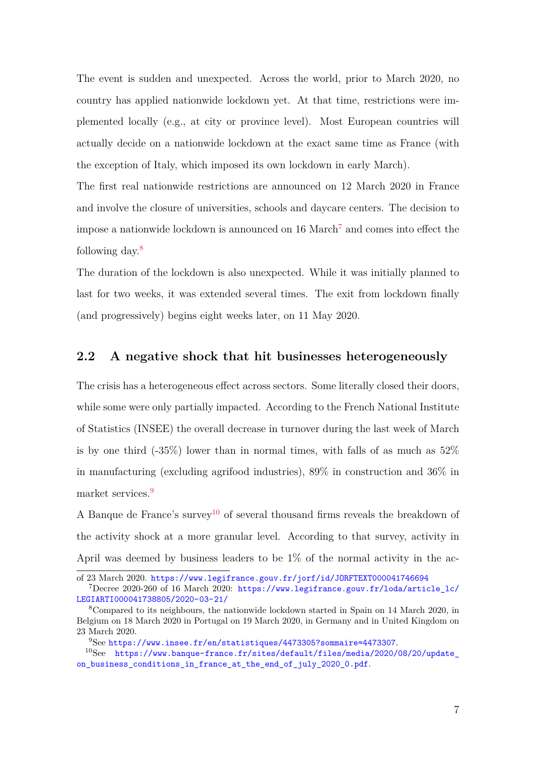The event is sudden and unexpected. Across the world, prior to March 2020, no country has applied nationwide lockdown yet. At that time, restrictions were implemented locally (e.g., at city or province level). Most European countries will actually decide on a nationwide lockdown at the exact same time as France (with the exception of Italy, which imposed its own lockdown in early March).

The first real nationwide restrictions are announced on 12 March 2020 in France and involve the closure of universities, schools and daycare centers. The decision to impose a nationwide lockdown is announced on  $16$  March<sup>[7](#page-3-0)</sup> and comes into effect the following day. $8$ 

The duration of the lockdown is also unexpected. While it was initially planned to last for two weeks, it was extended several times. The exit from lockdown finally (and progressively) begins eight weeks later, on 11 May 2020.

### **2.2 A negative shock that hit businesses heterogeneously**

The crisis has a heterogeneous effect across sectors. Some literally closed their doors, while some were only partially impacted. According to the French National Institute of Statistics (INSEE) the overall decrease in turnover during the last week of March is by one third (-35%) lower than in normal times, with falls of as much as 52% in manufacturing (excluding agrifood industries), 89% in construction and 36% in market services.<sup>[9](#page-3-0)</sup>

A Banque de France's survey<sup>[10](#page-3-0)</sup> of several thousand firms reveals the breakdown of the activity shock at a more granular level. According to that survey, activity in April was deemed by business leaders to be 1% of the normal activity in the ac-

of 23 March 2020. <https://www.legifrance.gouv.fr/jorf/id/JORFTEXT000041746694>

 $7$ Decree 2020-260 of 16 March 2020: https://www.legifrance.gouv.fr/loda/article lc/ [LEGIARTI000041738805/2020-03-21/](https://www.legifrance.gouv.fr/loda/article_lc/LEGIARTI000041738805/2020-03-21/)

<sup>8</sup>Compared to its neighbours, the nationwide lockdown started in Spain on 14 March 2020, in Belgium on 18 March 2020 in Portugal on 19 March 2020, in Germany and in United Kingdom on 23 March 2020.

<sup>9</sup>See <https://www.insee.fr/en/statistiques/4473305?sommaire=4473307>.

<sup>10</sup>See [https://www.banque-france.fr/sites/default/files/media/2020/08/20/update\\_](https://www.banque-france.fr/sites/default/files/media/2020/08/20/update_on_business_conditions_in_france_at_the_end_of_july_2020_0.pdf) [on\\_business\\_conditions\\_in\\_france\\_at\\_the\\_end\\_of\\_july\\_2020\\_0.pdf](https://www.banque-france.fr/sites/default/files/media/2020/08/20/update_on_business_conditions_in_france_at_the_end_of_july_2020_0.pdf).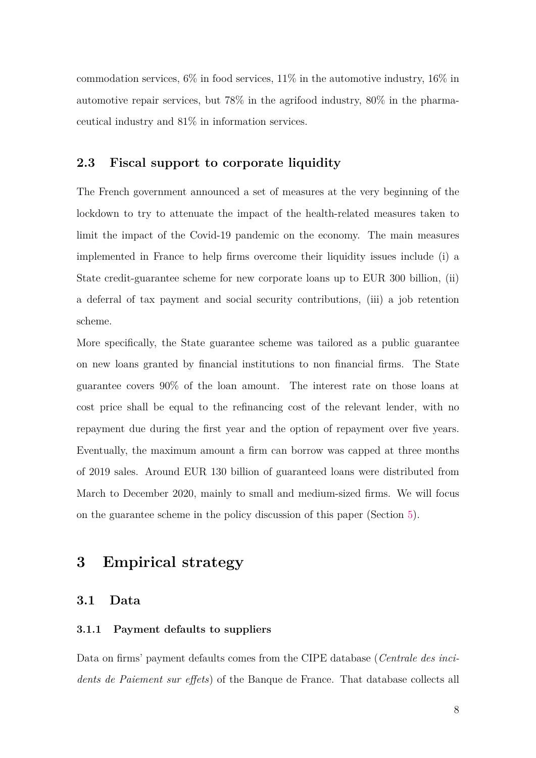commodation services,  $6\%$  in food services,  $11\%$  in the automotive industry,  $16\%$  in automotive repair services, but 78% in the agrifood industry, 80% in the pharmaceutical industry and 81% in information services.

### <span id="page-10-0"></span>**2.3 Fiscal support to corporate liquidity**

The French government announced a set of measures at the very beginning of the lockdown to try to attenuate the impact of the health-related measures taken to limit the impact of the Covid-19 pandemic on the economy. The main measures implemented in France to help firms overcome their liquidity issues include (i) a State credit-guarantee scheme for new corporate loans up to EUR 300 billion, (ii) a deferral of tax payment and social security contributions, (iii) a job retention scheme.

More specifically, the State guarantee scheme was tailored as a public guarantee on new loans granted by financial institutions to non financial firms. The State guarantee covers 90% of the loan amount. The interest rate on those loans at cost price shall be equal to the refinancing cost of the relevant lender, with no repayment due during the first year and the option of repayment over five years. Eventually, the maximum amount a firm can borrow was capped at three months of 2019 sales. Around EUR 130 billion of guaranteed loans were distributed from March to December 2020, mainly to small and medium-sized firms. We will focus on the guarantee scheme in the policy discussion of this paper (Section [5\)](#page-29-0).

### **3 Empirical strategy**

### **3.1 Data**

### **3.1.1 Payment defaults to suppliers**

Data on firms' payment defaults comes from the CIPE database (*Centrale des incidents de Paiement sur effets*) of the Banque de France. That database collects all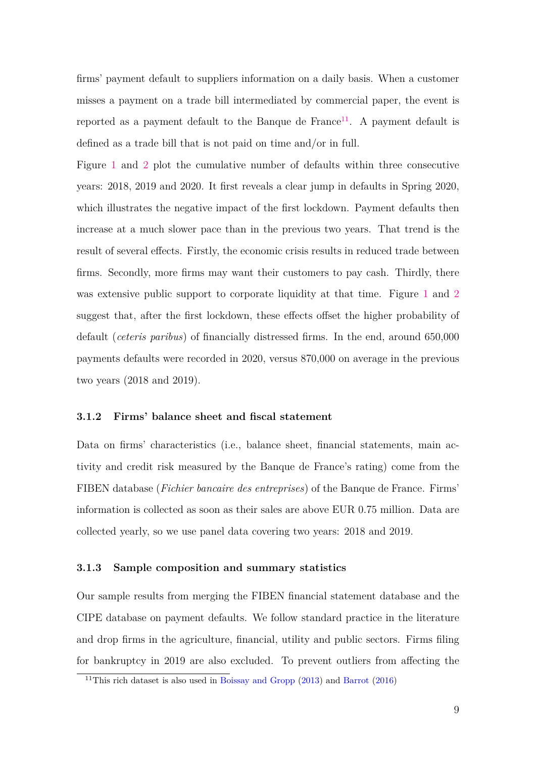firms' payment default to suppliers information on a daily basis. When a customer misses a payment on a trade bill intermediated by commercial paper, the event is reported as a payment default to the Banque de France<sup>[11](#page-3-0)</sup>. A payment default is defined as a trade bill that is not paid on time and/or in full.

Figure [1](#page-37-0) and [2](#page-38-0) plot the cumulative number of defaults within three consecutive years: 2018, 2019 and 2020. It first reveals a clear jump in defaults in Spring 2020, which illustrates the negative impact of the first lockdown. Payment defaults then increase at a much slower pace than in the previous two years. That trend is the result of several effects. Firstly, the economic crisis results in reduced trade between firms. Secondly, more firms may want their customers to pay cash. Thirdly, there was extensive public support to corporate liquidity at that time. Figure [1](#page-37-0) and [2](#page-38-0) suggest that, after the first lockdown, these effects offset the higher probability of default (*ceteris paribus*) of financially distressed firms. In the end, around 650,000 payments defaults were recorded in 2020, versus 870,000 on average in the previous two years (2018 and 2019).

#### **3.1.2 Firms' balance sheet and fiscal statement**

Data on firms' characteristics (i.e., balance sheet, financial statements, main activity and credit risk measured by the Banque de France's rating) come from the FIBEN database (*Fichier bancaire des entreprises*) of the Banque de France. Firms' information is collected as soon as their sales are above EUR 0.75 million. Data are collected yearly, so we use panel data covering two years: 2018 and 2019.

#### **3.1.3 Sample composition and summary statistics**

Our sample results from merging the FIBEN financial statement database and the CIPE database on payment defaults. We follow standard practice in the literature and drop firms in the agriculture, financial, utility and public sectors. Firms filing for bankruptcy in 2019 are also excluded. To prevent outliers from affecting the

<sup>&</sup>lt;sup>11</sup>This rich dataset is also used in [Boissay and Gropp](#page-35-5)  $(2013)$  and [Barrot](#page-35-3)  $(2016)$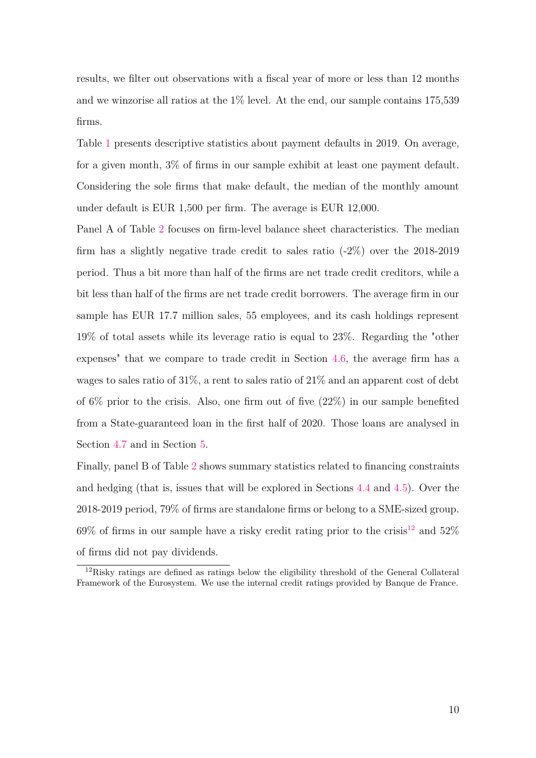results, we filter out observations with a fiscal year of more or less than 12 months and we winzorise all ratios at the 1% level. At the end, our sample contains 175,539 firms.

Table [1](#page-41-0) presents descriptive statistics about payment defaults in 2019. On average, for a given month, 3% of firms in our sample exhibit at least one payment default. Considering the sole firms that make default, the median of the monthly amount under default is EUR 1,500 per firm. The average is EUR 12,000.

Panel A of Table [2](#page-42-0) focuses on firm-level balance sheet characteristics. The median firm has a slightly negative trade credit to sales ratio  $(-2\%)$  over the 2018-2019 period. Thus a bit more than half of the firms are net trade credit creditors, while a bit less than half of the firms are net trade credit borrowers. The average firm in our sample has EUR 17.7 million sales, 55 employees, and its cash holdings represent 19% of total assets while its leverage ratio is equal to 23%. Regarding the "other expenses" that we compare to trade credit in Section [4.6,](#page-26-0) the average firm has a wages to sales ratio of 31%, a rent to sales ratio of 21% and an apparent cost of debt of  $6\%$  prior to the crisis. Also, one firm out of five  $(22\%)$  in our sample benefited from a State-guaranteed loan in the first half of 2020. Those loans are analysed in Section [4.7](#page-28-0) and in Section [5.](#page-29-0)

Finally, panel B of Table [2](#page-42-0) shows summary statistics related to financing constraints and hedging (that is, issues that will be explored in Sections [4.4](#page-22-0) and [4.5\)](#page-24-0). Over the 2018-2019 period, 79% of firms are standalone firms or belong to a SME-sized group. 69% of firms in our sample have a risky credit rating prior to the crisis<sup>[12](#page-3-0)</sup> and 52% of firms did not pay dividends.

<sup>&</sup>lt;sup>12</sup>Risky ratings are defined as ratings below the eligibility threshold of the General Collateral Framework of the Eurosystem. We use the internal credit ratings provided by Banque de France.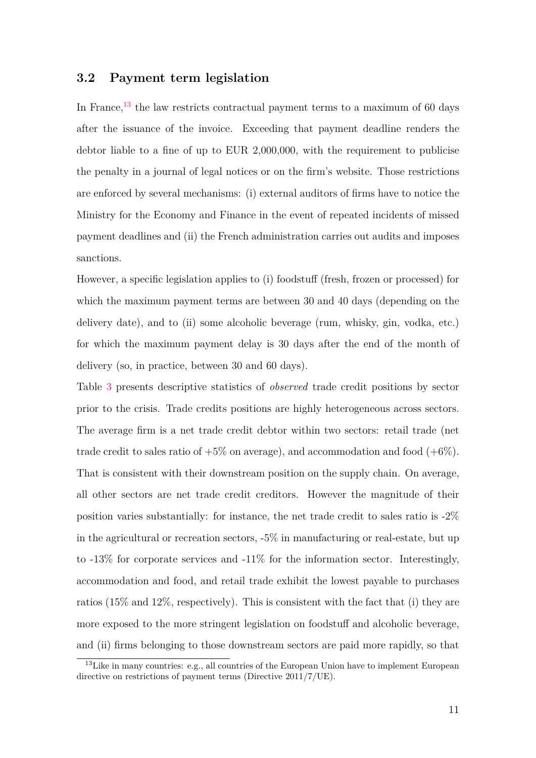### **3.2 Payment term legislation**

In France, $^{13}$  $^{13}$  $^{13}$  the law restricts contractual payment terms to a maximum of 60 days after the issuance of the invoice. Exceeding that payment deadline renders the debtor liable to a fine of up to EUR 2,000,000, with the requirement to publicise the penalty in a journal of legal notices or on the firm's website. Those restrictions are enforced by several mechanisms: (i) external auditors of firms have to notice the Ministry for the Economy and Finance in the event of repeated incidents of missed payment deadlines and (ii) the French administration carries out audits and imposes sanctions.

However, a specific legislation applies to (i) foodstuff (fresh, frozen or processed) for which the maximum payment terms are between 30 and 40 days (depending on the delivery date), and to (ii) some alcoholic beverage (rum, whisky, gin, vodka, etc.) for which the maximum payment delay is 30 days after the end of the month of delivery (so, in practice, between 30 and 60 days).

Table [3](#page-43-0) presents descriptive statistics of *observed* trade credit positions by sector prior to the crisis. Trade credits positions are highly heterogeneous across sectors. The average firm is a net trade credit debtor within two sectors: retail trade (net trade credit to sales ratio of  $+5\%$  on average), and accommodation and food  $(+6\%)$ . That is consistent with their downstream position on the supply chain. On average, all other sectors are net trade credit creditors. However the magnitude of their position varies substantially: for instance, the net trade credit to sales ratio is -2% in the agricultural or recreation sectors,  $-5\%$  in manufacturing or real-estate, but up to -13% for corporate services and -11% for the information sector. Interestingly, accommodation and food, and retail trade exhibit the lowest payable to purchases ratios (15% and 12%, respectively). This is consistent with the fact that (i) they are more exposed to the more stringent legislation on foodstuff and alcoholic beverage, and (ii) firms belonging to those downstream sectors are paid more rapidly, so that

 $13$  Like in many countries: e.g., all countries of the European Union have to implement European directive on restrictions of payment terms (Directive 2011/7/UE).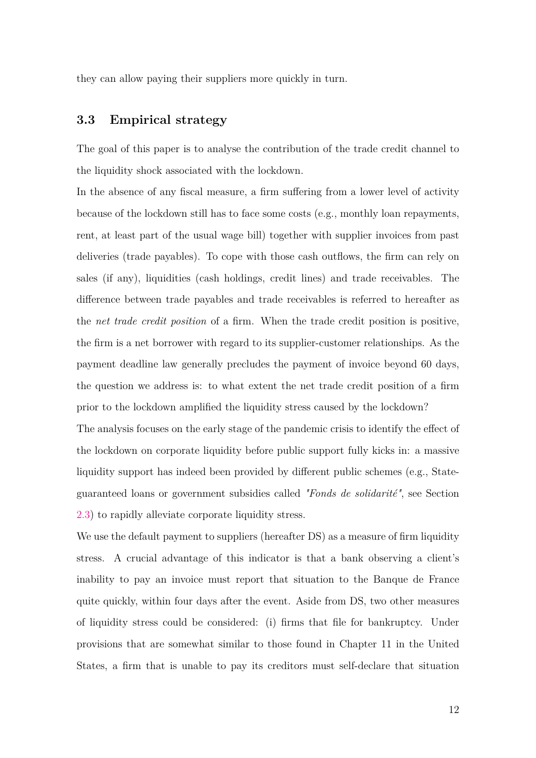they can allow paying their suppliers more quickly in turn.

### **3.3 Empirical strategy**

The goal of this paper is to analyse the contribution of the trade credit channel to the liquidity shock associated with the lockdown.

In the absence of any fiscal measure, a firm suffering from a lower level of activity because of the lockdown still has to face some costs (e.g., monthly loan repayments, rent, at least part of the usual wage bill) together with supplier invoices from past deliveries (trade payables). To cope with those cash outflows, the firm can rely on sales (if any), liquidities (cash holdings, credit lines) and trade receivables. The difference between trade payables and trade receivables is referred to hereafter as the *net trade credit position* of a firm. When the trade credit position is positive, the firm is a net borrower with regard to its supplier-customer relationships. As the payment deadline law generally precludes the payment of invoice beyond 60 days, the question we address is: to what extent the net trade credit position of a firm prior to the lockdown amplified the liquidity stress caused by the lockdown? The analysis focuses on the early stage of the pandemic crisis to identify the effect of the lockdown on corporate liquidity before public support fully kicks in: a massive liquidity support has indeed been provided by different public schemes (e.g., Stateguaranteed loans or government subsidies called *"Fonds de solidarité"*, see Section

[2.3\)](#page-10-0) to rapidly alleviate corporate liquidity stress.

We use the default payment to suppliers (hereafter DS) as a measure of firm liquidity stress. A crucial advantage of this indicator is that a bank observing a client's inability to pay an invoice must report that situation to the Banque de France quite quickly, within four days after the event. Aside from DS, two other measures of liquidity stress could be considered: (i) firms that file for bankruptcy. Under provisions that are somewhat similar to those found in Chapter 11 in the United States, a firm that is unable to pay its creditors must self-declare that situation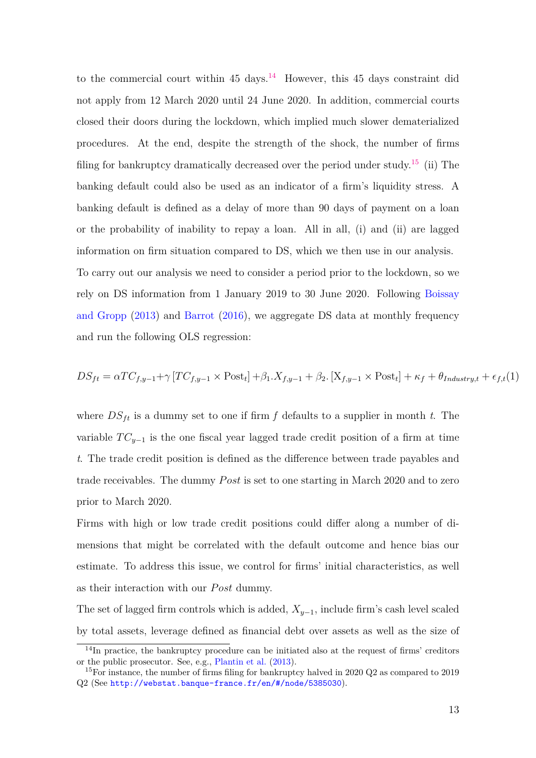to the commercial court within  $45 \text{ days}$ .<sup>[14](#page-3-0)</sup> However, this  $45 \text{ days}$  constraint did not apply from 12 March 2020 until 24 June 2020. In addition, commercial courts closed their doors during the lockdown, which implied much slower dematerialized procedures. At the end, despite the strength of the shock, the number of firms filing for bankruptcy dramatically decreased over the period under study.<sup>[15](#page-3-0)</sup> (ii) The banking default could also be used as an indicator of a firm's liquidity stress. A banking default is defined as a delay of more than 90 days of payment on a loan or the probability of inability to repay a loan. All in all, (i) and (ii) are lagged information on firm situation compared to DS, which we then use in our analysis. To carry out our analysis we need to consider a period prior to the lockdown, so we rely on DS information from 1 January 2019 to 30 June 2020. Following [Boissay](#page-35-5) [and Gropp](#page-35-5) [\(2013\)](#page-35-5) and [Barrot](#page-35-3) [\(2016\)](#page-35-3), we aggregate DS data at monthly frequency and run the following OLS regression:

<span id="page-15-0"></span>
$$
DS_{ft} = \alpha TC_{f,y-1} + \gamma \left[ TC_{f,y-1} \times \text{Post}_{t} \right] + \beta_1 . X_{f,y-1} + \beta_2 . \left[ X_{f,y-1} \times \text{Post}_{t} \right] + \kappa_f + \theta_{Industry,t} + \epsilon_{f,t}(1)
$$

where  $DS_{ft}$  is a dummy set to one if firm  $f$  defaults to a supplier in month  $t$ . The variable  $TC_{y-1}$  is the one fiscal year lagged trade credit position of a firm at time *t*. The trade credit position is defined as the difference between trade payables and trade receivables. The dummy *Post* is set to one starting in March 2020 and to zero prior to March 2020.

Firms with high or low trade credit positions could differ along a number of dimensions that might be correlated with the default outcome and hence bias our estimate. To address this issue, we control for firms' initial characteristics, as well as their interaction with our *Post* dummy.

The set of lagged firm controls which is added,  $X_{y-1}$ , include firm's cash level scaled by total assets, leverage defined as financial debt over assets as well as the size of

<sup>&</sup>lt;sup>14</sup>In practice, the bankruptcy procedure can be initiated also at the request of firms' creditors or the public prosecutor. See, e.g., [Plantin et al.](#page-36-3) [\(2013\)](#page-36-3).

<sup>&</sup>lt;sup>15</sup>For instance, the number of firms filing for bankruptcy halved in 2020 Q2 as compared to 2019 Q2 (See [http://webstat.banque-france.fr/en/#/node/5385030](http://webstat.banque-france.fr/en/##/node/5385030)).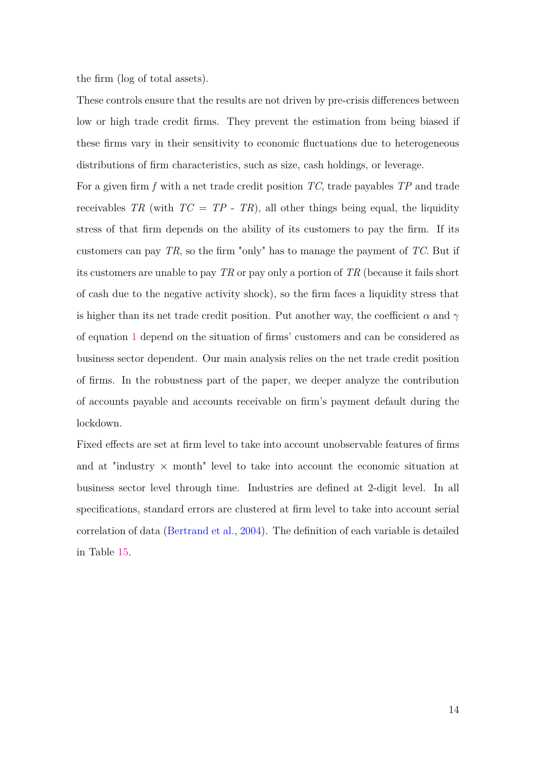the firm (log of total assets).

These controls ensure that the results are not driven by pre-crisis differences between low or high trade credit firms. They prevent the estimation from being biased if these firms vary in their sensitivity to economic fluctuations due to heterogeneous distributions of firm characteristics, such as size, cash holdings, or leverage.

For a given firm *f* with a net trade credit position *TC*, trade payables *TP* and trade receivables *TR* (with  $TC = TP - TR$ ), all other things being equal, the liquidity stress of that firm depends on the ability of its customers to pay the firm. If its customers can pay *TR*, so the firm "only" has to manage the payment of *TC*. But if its customers are unable to pay *TR* or pay only a portion of *TR* (because it fails short of cash due to the negative activity shock), so the firm faces a liquidity stress that is higher than its net trade credit position. Put another way, the coefficient  $\alpha$  and  $\gamma$ of equation [1](#page-15-0) depend on the situation of firms' customers and can be considered as business sector dependent. Our main analysis relies on the net trade credit position of firms. In the robustness part of the paper, we deeper analyze the contribution of accounts payable and accounts receivable on firm's payment default during the lockdown.

Fixed effects are set at firm level to take into account unobservable features of firms and at "industry  $\times$  month" level to take into account the economic situation at business sector level through time. Industries are defined at 2-digit level. In all specifications, standard errors are clustered at firm level to take into account serial correlation of data [\(Bertrand et al.,](#page-35-12) [2004\)](#page-35-12). The definition of each variable is detailed in Table [15.](#page-56-0)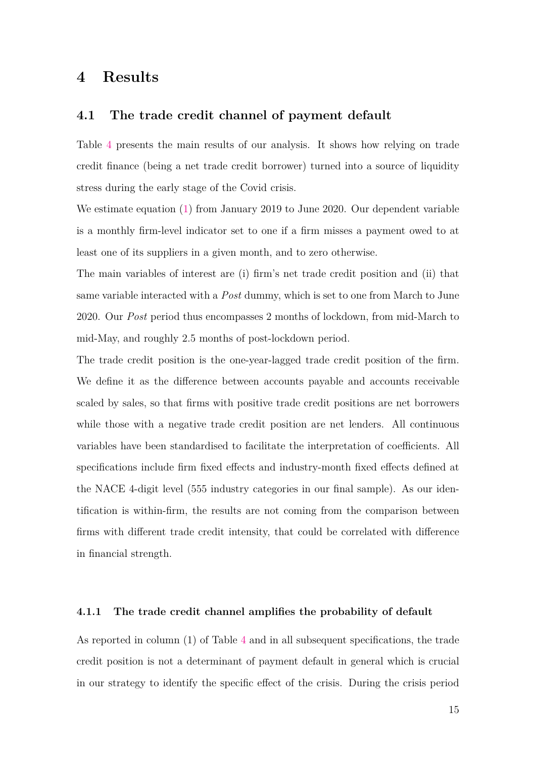### **4 Results**

### **4.1 The trade credit channel of payment default**

Table [4](#page-45-0) presents the main results of our analysis. It shows how relying on trade credit finance (being a net trade credit borrower) turned into a source of liquidity stress during the early stage of the Covid crisis.

We estimate equation [\(1\)](#page-15-0) from January 2019 to June 2020. Our dependent variable is a monthly firm-level indicator set to one if a firm misses a payment owed to at least one of its suppliers in a given month, and to zero otherwise.

The main variables of interest are (i) firm's net trade credit position and (ii) that same variable interacted with a *Post* dummy, which is set to one from March to June 2020. Our *Post* period thus encompasses 2 months of lockdown, from mid-March to mid-May, and roughly 2.5 months of post-lockdown period.

The trade credit position is the one-year-lagged trade credit position of the firm. We define it as the difference between accounts payable and accounts receivable scaled by sales, so that firms with positive trade credit positions are net borrowers while those with a negative trade credit position are net lenders. All continuous variables have been standardised to facilitate the interpretation of coefficients. All specifications include firm fixed effects and industry-month fixed effects defined at the NACE 4-digit level (555 industry categories in our final sample). As our identification is within-firm, the results are not coming from the comparison between firms with different trade credit intensity, that could be correlated with difference in financial strength.

#### **4.1.1 The trade credit channel amplifies the probability of default**

As reported in column (1) of Table [4](#page-45-0) and in all subsequent specifications, the trade credit position is not a determinant of payment default in general which is crucial in our strategy to identify the specific effect of the crisis. During the crisis period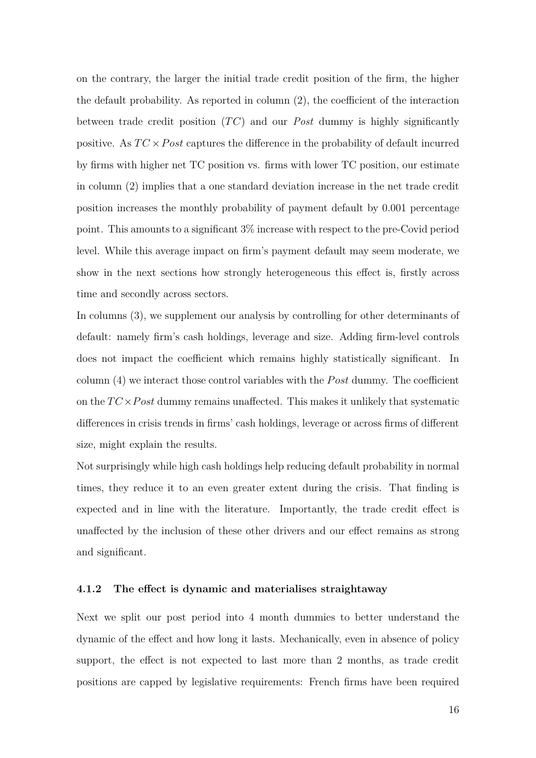on the contrary, the larger the initial trade credit position of the firm, the higher the default probability. As reported in column (2), the coefficient of the interaction between trade credit position (*T C*) and our *Post* dummy is highly significantly positive. As  $TC \times Post$  captures the difference in the probability of default incurred by firms with higher net TC position vs. firms with lower TC position, our estimate in column (2) implies that a one standard deviation increase in the net trade credit position increases the monthly probability of payment default by 0.001 percentage point. This amounts to a significant 3% increase with respect to the pre-Covid period level. While this average impact on firm's payment default may seem moderate, we show in the next sections how strongly heterogeneous this effect is, firstly across time and secondly across sectors.

In columns (3), we supplement our analysis by controlling for other determinants of default: namely firm's cash holdings, leverage and size. Adding firm-level controls does not impact the coefficient which remains highly statistically significant. In column (4) we interact those control variables with the *P ost* dummy. The coefficient on the  $TC \times Post$  dummy remains unaffected. This makes it unlikely that systematic differences in crisis trends in firms' cash holdings, leverage or across firms of different size, might explain the results.

Not surprisingly while high cash holdings help reducing default probability in normal times, they reduce it to an even greater extent during the crisis. That finding is expected and in line with the literature. Importantly, the trade credit effect is unaffected by the inclusion of these other drivers and our effect remains as strong and significant.

### **4.1.2 The effect is dynamic and materialises straightaway**

Next we split our post period into 4 month dummies to better understand the dynamic of the effect and how long it lasts. Mechanically, even in absence of policy support, the effect is not expected to last more than 2 months, as trade credit positions are capped by legislative requirements: French firms have been required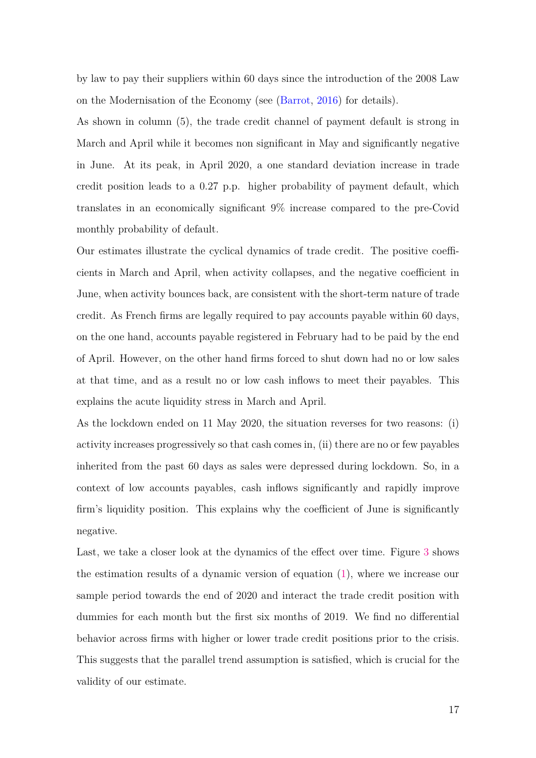by law to pay their suppliers within 60 days since the introduction of the 2008 Law on the Modernisation of the Economy (see [\(Barrot,](#page-35-3) [2016\)](#page-35-3) for details).

As shown in column (5), the trade credit channel of payment default is strong in March and April while it becomes non significant in May and significantly negative in June. At its peak, in April 2020, a one standard deviation increase in trade credit position leads to a 0.27 p.p. higher probability of payment default, which translates in an economically significant 9% increase compared to the pre-Covid monthly probability of default.

Our estimates illustrate the cyclical dynamics of trade credit. The positive coefficients in March and April, when activity collapses, and the negative coefficient in June, when activity bounces back, are consistent with the short-term nature of trade credit. As French firms are legally required to pay accounts payable within 60 days, on the one hand, accounts payable registered in February had to be paid by the end of April. However, on the other hand firms forced to shut down had no or low sales at that time, and as a result no or low cash inflows to meet their payables. This explains the acute liquidity stress in March and April.

As the lockdown ended on 11 May 2020, the situation reverses for two reasons: (i) activity increases progressively so that cash comes in, (ii) there are no or few payables inherited from the past 60 days as sales were depressed during lockdown. So, in a context of low accounts payables, cash inflows significantly and rapidly improve firm's liquidity position. This explains why the coefficient of June is significantly negative.

Last, we take a closer look at the dynamics of the effect over time. Figure [3](#page-39-0) shows the estimation results of a dynamic version of equation [\(1\)](#page-15-0), where we increase our sample period towards the end of 2020 and interact the trade credit position with dummies for each month but the first six months of 2019. We find no differential behavior across firms with higher or lower trade credit positions prior to the crisis. This suggests that the parallel trend assumption is satisfied, which is crucial for the validity of our estimate.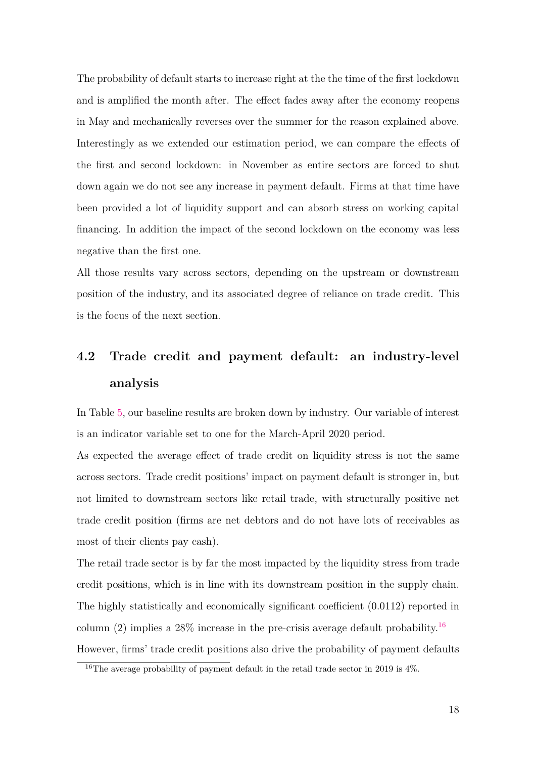The probability of default starts to increase right at the the time of the first lockdown and is amplified the month after. The effect fades away after the economy reopens in May and mechanically reverses over the summer for the reason explained above. Interestingly as we extended our estimation period, we can compare the effects of the first and second lockdown: in November as entire sectors are forced to shut down again we do not see any increase in payment default. Firms at that time have been provided a lot of liquidity support and can absorb stress on working capital financing. In addition the impact of the second lockdown on the economy was less negative than the first one.

All those results vary across sectors, depending on the upstream or downstream position of the industry, and its associated degree of reliance on trade credit. This is the focus of the next section.

## **4.2 Trade credit and payment default: an industry-level analysis**

In Table [5,](#page-46-0) our baseline results are broken down by industry. Our variable of interest is an indicator variable set to one for the March-April 2020 period.

As expected the average effect of trade credit on liquidity stress is not the same across sectors. Trade credit positions' impact on payment default is stronger in, but not limited to downstream sectors like retail trade, with structurally positive net trade credit position (firms are net debtors and do not have lots of receivables as most of their clients pay cash).

The retail trade sector is by far the most impacted by the liquidity stress from trade credit positions, which is in line with its downstream position in the supply chain. The highly statistically and economically significant coefficient (0.0112) reported in column (2) implies a 28% increase in the pre-crisis average default probability.<sup>[16](#page-3-0)</sup> However, firms' trade credit positions also drive the probability of payment defaults

 $16$ The average probability of payment default in the retail trade sector in 2019 is 4%.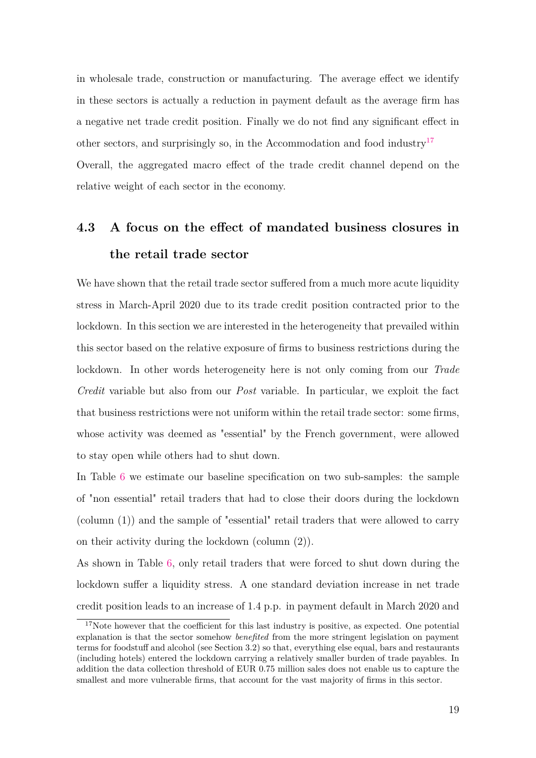in wholesale trade, construction or manufacturing. The average effect we identify in these sectors is actually a reduction in payment default as the average firm has a negative net trade credit position. Finally we do not find any significant effect in other sectors, and surprisingly so, in the Accommodation and food industry<sup>[17](#page-3-0)</sup> Overall, the aggregated macro effect of the trade credit channel depend on the relative weight of each sector in the economy.

# **4.3 A focus on the effect of mandated business closures in the retail trade sector**

We have shown that the retail trade sector suffered from a much more acute liquidity stress in March-April 2020 due to its trade credit position contracted prior to the lockdown. In this section we are interested in the heterogeneity that prevailed within this sector based on the relative exposure of firms to business restrictions during the lockdown. In other words heterogeneity here is not only coming from our *Trade Credit* variable but also from our *Post* variable. In particular, we exploit the fact that business restrictions were not uniform within the retail trade sector: some firms, whose activity was deemed as "essential" by the French government, were allowed to stay open while others had to shut down.

In Table [6](#page-47-0) we estimate our baseline specification on two sub-samples: the sample of "non essential" retail traders that had to close their doors during the lockdown (column (1)) and the sample of "essential" retail traders that were allowed to carry on their activity during the lockdown (column (2)).

As shown in Table [6,](#page-47-0) only retail traders that were forced to shut down during the lockdown suffer a liquidity stress. A one standard deviation increase in net trade credit position leads to an increase of 1.4 p.p. in payment default in March 2020 and

<sup>&</sup>lt;sup>17</sup>Note however that the coefficient for this last industry is positive, as expected. One potential explanation is that the sector somehow *benefited* from the more stringent legislation on payment terms for foodstuff and alcohol (see Section 3.2) so that, everything else equal, bars and restaurants (including hotels) entered the lockdown carrying a relatively smaller burden of trade payables. In addition the data collection threshold of EUR 0.75 million sales does not enable us to capture the smallest and more vulnerable firms, that account for the vast majority of firms in this sector.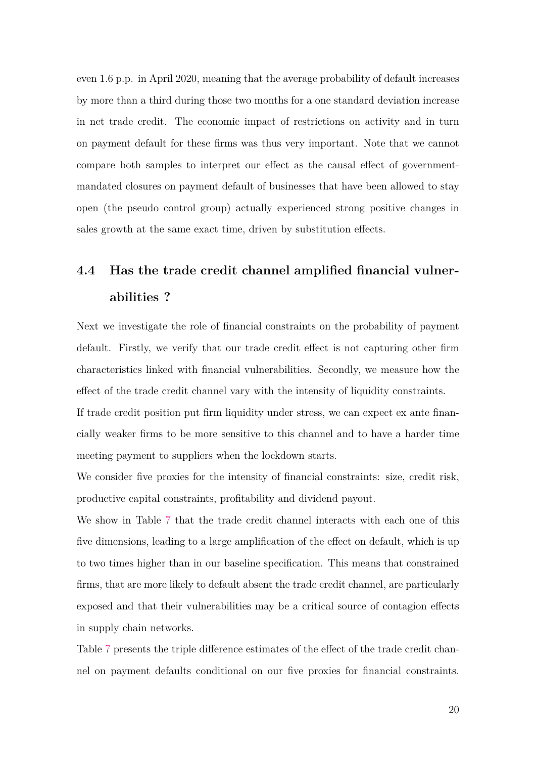even 1.6 p.p. in April 2020, meaning that the average probability of default increases by more than a third during those two months for a one standard deviation increase in net trade credit. The economic impact of restrictions on activity and in turn on payment default for these firms was thus very important. Note that we cannot compare both samples to interpret our effect as the causal effect of governmentmandated closures on payment default of businesses that have been allowed to stay open (the pseudo control group) actually experienced strong positive changes in sales growth at the same exact time, driven by substitution effects.

# <span id="page-22-0"></span>**4.4 Has the trade credit channel amplified financial vulnerabilities ?**

Next we investigate the role of financial constraints on the probability of payment default. Firstly, we verify that our trade credit effect is not capturing other firm characteristics linked with financial vulnerabilities. Secondly, we measure how the effect of the trade credit channel vary with the intensity of liquidity constraints.

If trade credit position put firm liquidity under stress, we can expect ex ante financially weaker firms to be more sensitive to this channel and to have a harder time meeting payment to suppliers when the lockdown starts.

We consider five proxies for the intensity of financial constraints: size, credit risk, productive capital constraints, profitability and dividend payout.

We show in Table [7](#page-48-0) that the trade credit channel interacts with each one of this five dimensions, leading to a large amplification of the effect on default, which is up to two times higher than in our baseline specification. This means that constrained firms, that are more likely to default absent the trade credit channel, are particularly exposed and that their vulnerabilities may be a critical source of contagion effects in supply chain networks.

Table [7](#page-48-0) presents the triple difference estimates of the effect of the trade credit channel on payment defaults conditional on our five proxies for financial constraints.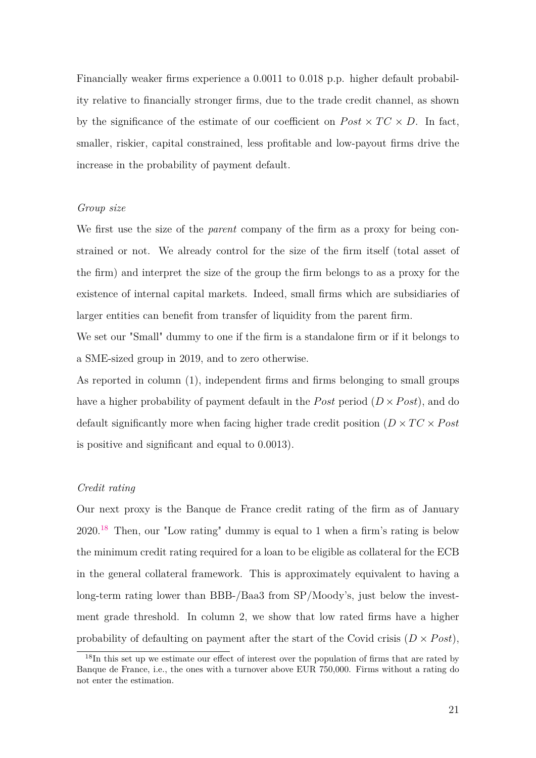Financially weaker firms experience a 0.0011 to 0.018 p.p. higher default probability relative to financially stronger firms, due to the trade credit channel, as shown by the significance of the estimate of our coefficient on  $Post \times TC \times D$ . In fact, smaller, riskier, capital constrained, less profitable and low-payout firms drive the increase in the probability of payment default.

#### *Group size*

We first use the size of the *parent* company of the firm as a proxy for being constrained or not. We already control for the size of the firm itself (total asset of the firm) and interpret the size of the group the firm belongs to as a proxy for the existence of internal capital markets. Indeed, small firms which are subsidiaries of larger entities can benefit from transfer of liquidity from the parent firm.

We set our "Small" dummy to one if the firm is a standalone firm or if it belongs to a SME-sized group in 2019, and to zero otherwise.

As reported in column (1), independent firms and firms belonging to small groups have a higher probability of payment default in the *Post* period  $(D \times Post)$ , and do default significantly more when facing higher trade credit position ( $D \times TC \times Post$ is positive and significant and equal to 0.0013).

### *Credit rating*

Our next proxy is the Banque de France credit rating of the firm as of January  $2020<sup>18</sup>$  $2020<sup>18</sup>$  $2020<sup>18</sup>$  Then, our "Low rating" dummy is equal to 1 when a firm's rating is below the minimum credit rating required for a loan to be eligible as collateral for the ECB in the general collateral framework. This is approximately equivalent to having a long-term rating lower than BBB-/Baa3 from SP/Moody's, just below the investment grade threshold. In column 2, we show that low rated firms have a higher probability of defaulting on payment after the start of the Covid crisis  $(D \times Post)$ ,

<sup>&</sup>lt;sup>18</sup>In this set up we estimate our effect of interest over the population of firms that are rated by Banque de France, i.e., the ones with a turnover above EUR 750,000. Firms without a rating do not enter the estimation.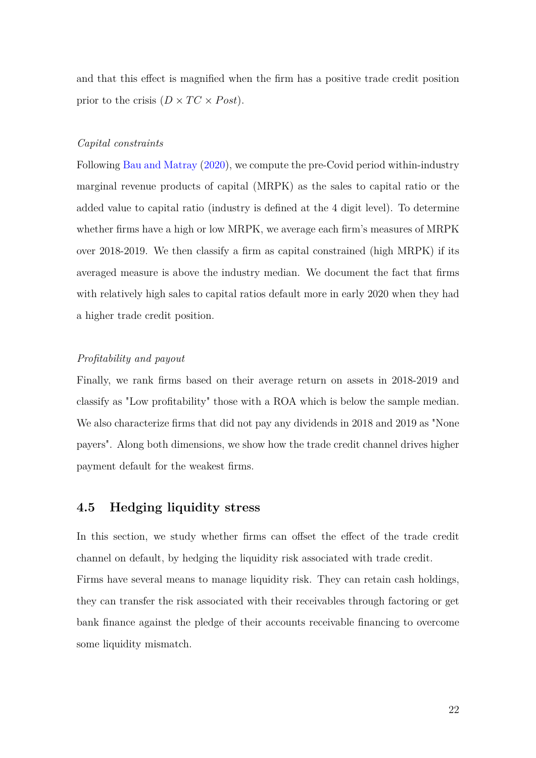and that this effect is magnified when the firm has a positive trade credit position prior to the crisis  $(D \times TC \times Post)$ .

#### *Capital constraints*

Following [Bau and Matray](#page-35-13) [\(2020\)](#page-35-13), we compute the pre-Covid period within-industry marginal revenue products of capital (MRPK) as the sales to capital ratio or the added value to capital ratio (industry is defined at the 4 digit level). To determine whether firms have a high or low MRPK, we average each firm's measures of MRPK over 2018-2019. We then classify a firm as capital constrained (high MRPK) if its averaged measure is above the industry median. We document the fact that firms with relatively high sales to capital ratios default more in early 2020 when they had a higher trade credit position.

### *Profitability and payout*

Finally, we rank firms based on their average return on assets in 2018-2019 and classify as "Low profitability" those with a ROA which is below the sample median. We also characterize firms that did not pay any dividends in 2018 and 2019 as "None payers". Along both dimensions, we show how the trade credit channel drives higher payment default for the weakest firms.

### <span id="page-24-0"></span>**4.5 Hedging liquidity stress**

In this section, we study whether firms can offset the effect of the trade credit channel on default, by hedging the liquidity risk associated with trade credit. Firms have several means to manage liquidity risk. They can retain cash holdings, they can transfer the risk associated with their receivables through factoring or get bank finance against the pledge of their accounts receivable financing to overcome some liquidity mismatch.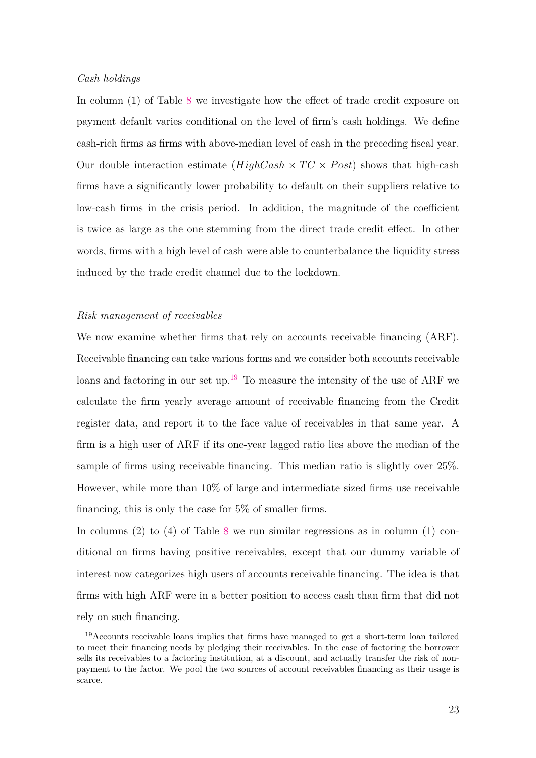#### *Cash holdings*

In column (1) of Table [8](#page-49-0) we investigate how the effect of trade credit exposure on payment default varies conditional on the level of firm's cash holdings. We define cash-rich firms as firms with above-median level of cash in the preceding fiscal year. Our double interaction estimate  $(HighCash \times TC \times Post)$  shows that high-cash firms have a significantly lower probability to default on their suppliers relative to low-cash firms in the crisis period. In addition, the magnitude of the coefficient is twice as large as the one stemming from the direct trade credit effect. In other words, firms with a high level of cash were able to counterbalance the liquidity stress induced by the trade credit channel due to the lockdown.

#### *Risk management of receivables*

We now examine whether firms that rely on accounts receivable financing (ARF). Receivable financing can take various forms and we consider both accounts receivable loans and factoring in our set up.<sup>[19](#page-3-0)</sup> To measure the intensity of the use of ARF we calculate the firm yearly average amount of receivable financing from the Credit register data, and report it to the face value of receivables in that same year. A firm is a high user of ARF if its one-year lagged ratio lies above the median of the sample of firms using receivable financing. This median ratio is slightly over 25%. However, while more than 10% of large and intermediate sized firms use receivable financing, this is only the case for 5% of smaller firms.

In columns  $(2)$  to  $(4)$  of Table [8](#page-49-0) we run similar regressions as in column  $(1)$  conditional on firms having positive receivables, except that our dummy variable of interest now categorizes high users of accounts receivable financing. The idea is that firms with high ARF were in a better position to access cash than firm that did not rely on such financing.

<sup>&</sup>lt;sup>19</sup>Accounts receivable loans implies that firms have managed to get a short-term loan tailored to meet their financing needs by pledging their receivables. In the case of factoring the borrower sells its receivables to a factoring institution, at a discount, and actually transfer the risk of nonpayment to the factor. We pool the two sources of account receivables financing as their usage is scarce.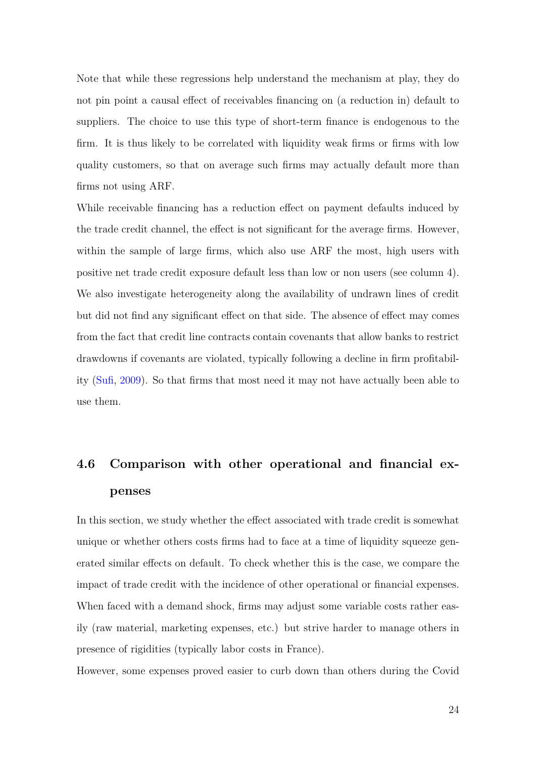Note that while these regressions help understand the mechanism at play, they do not pin point a causal effect of receivables financing on (a reduction in) default to suppliers. The choice to use this type of short-term finance is endogenous to the firm. It is thus likely to be correlated with liquidity weak firms or firms with low quality customers, so that on average such firms may actually default more than firms not using ARF.

While receivable financing has a reduction effect on payment defaults induced by the trade credit channel, the effect is not significant for the average firms. However, within the sample of large firms, which also use ARF the most, high users with positive net trade credit exposure default less than low or non users (see column 4). We also investigate heterogeneity along the availability of undrawn lines of credit but did not find any significant effect on that side. The absence of effect may comes from the fact that credit line contracts contain covenants that allow banks to restrict drawdowns if covenants are violated, typically following a decline in firm profitability [\(Sufi,](#page-36-4) [2009\)](#page-36-4). So that firms that most need it may not have actually been able to use them.

# <span id="page-26-0"></span>**4.6 Comparison with other operational and financial expenses**

In this section, we study whether the effect associated with trade credit is somewhat unique or whether others costs firms had to face at a time of liquidity squeeze generated similar effects on default. To check whether this is the case, we compare the impact of trade credit with the incidence of other operational or financial expenses. When faced with a demand shock, firms may adjust some variable costs rather easily (raw material, marketing expenses, etc.) but strive harder to manage others in presence of rigidities (typically labor costs in France).

However, some expenses proved easier to curb down than others during the Covid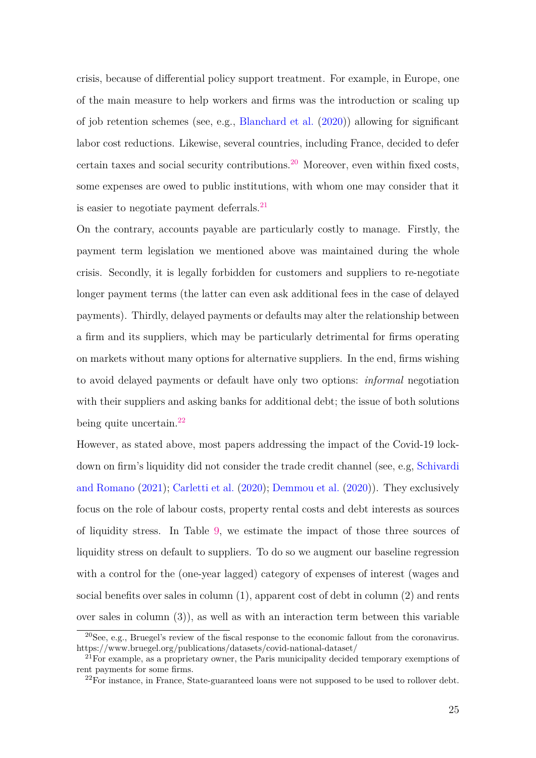crisis, because of differential policy support treatment. For example, in Europe, one of the main measure to help workers and firms was the introduction or scaling up of job retention schemes (see, e.g., [Blanchard et al.](#page-35-14) [\(2020\)](#page-35-14)) allowing for significant labor cost reductions. Likewise, several countries, including France, decided to defer certain taxes and social security contributions.<sup>[20](#page-3-0)</sup> Moreover, even within fixed costs, some expenses are owed to public institutions, with whom one may consider that it is easier to negotiate payment deferrals. $^{21}$  $^{21}$  $^{21}$ 

On the contrary, accounts payable are particularly costly to manage. Firstly, the payment term legislation we mentioned above was maintained during the whole crisis. Secondly, it is legally forbidden for customers and suppliers to re-negotiate longer payment terms (the latter can even ask additional fees in the case of delayed payments). Thirdly, delayed payments or defaults may alter the relationship between a firm and its suppliers, which may be particularly detrimental for firms operating on markets without many options for alternative suppliers. In the end, firms wishing to avoid delayed payments or default have only two options: *informal* negotiation with their suppliers and asking banks for additional debt; the issue of both solutions being quite uncertain.<sup>[22](#page-3-0)</sup>

However, as stated above, most papers addressing the impact of the Covid-19 lockdown on firm's liquidity did not consider the trade credit channel (see, e.g, [Schivardi](#page-36-2) [and Romano](#page-36-2) [\(2021\)](#page-36-2); [Carletti et al.](#page-35-7) [\(2020\)](#page-35-7); [Demmou et al.](#page-35-8) [\(2020\)](#page-35-8)). They exclusively focus on the role of labour costs, property rental costs and debt interests as sources of liquidity stress. In Table [9,](#page-50-0) we estimate the impact of those three sources of liquidity stress on default to suppliers. To do so we augment our baseline regression with a control for the (one-year lagged) category of expenses of interest (wages and social benefits over sales in column (1), apparent cost of debt in column (2) and rents over sales in column (3)), as well as with an interaction term between this variable

<sup>20</sup>See, e.g., Bruegel's review of the fiscal response to the economic fallout from the coronavirus. https://www.bruegel.org/publications/datasets/covid-national-dataset/

 $^{21}$ For example, as a proprietary owner, the Paris municipality decided temporary exemptions of rent payments for some firms.

<sup>&</sup>lt;sup>22</sup>For instance, in France, State-guaranteed loans were not supposed to be used to rollover debt.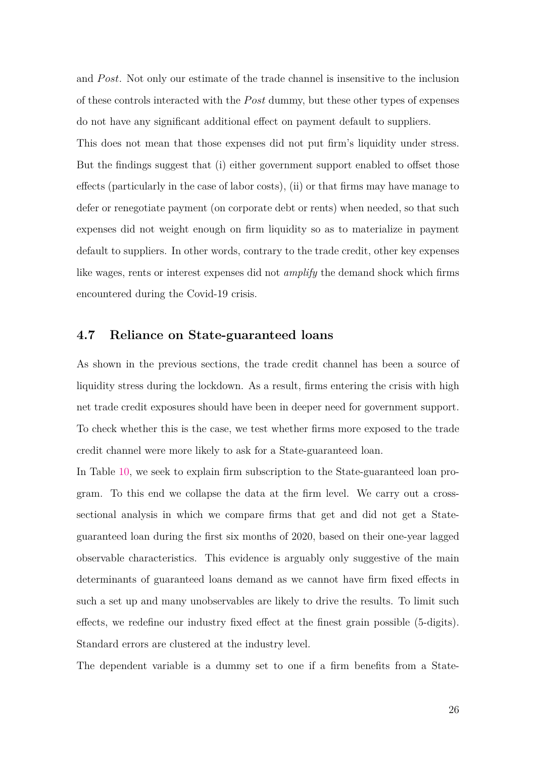and *P ost*. Not only our estimate of the trade channel is insensitive to the inclusion of these controls interacted with the *P ost* dummy, but these other types of expenses do not have any significant additional effect on payment default to suppliers.

This does not mean that those expenses did not put firm's liquidity under stress. But the findings suggest that (i) either government support enabled to offset those effects (particularly in the case of labor costs), (ii) or that firms may have manage to defer or renegotiate payment (on corporate debt or rents) when needed, so that such expenses did not weight enough on firm liquidity so as to materialize in payment default to suppliers. In other words, contrary to the trade credit, other key expenses like wages, rents or interest expenses did not *amplify* the demand shock which firms encountered during the Covid-19 crisis.

### <span id="page-28-0"></span>**4.7 Reliance on State-guaranteed loans**

As shown in the previous sections, the trade credit channel has been a source of liquidity stress during the lockdown. As a result, firms entering the crisis with high net trade credit exposures should have been in deeper need for government support. To check whether this is the case, we test whether firms more exposed to the trade credit channel were more likely to ask for a State-guaranteed loan.

In Table [10,](#page-51-0) we seek to explain firm subscription to the State-guaranteed loan program. To this end we collapse the data at the firm level. We carry out a crosssectional analysis in which we compare firms that get and did not get a Stateguaranteed loan during the first six months of 2020, based on their one-year lagged observable characteristics. This evidence is arguably only suggestive of the main determinants of guaranteed loans demand as we cannot have firm fixed effects in such a set up and many unobservables are likely to drive the results. To limit such effects, we redefine our industry fixed effect at the finest grain possible (5-digits). Standard errors are clustered at the industry level.

The dependent variable is a dummy set to one if a firm benefits from a State-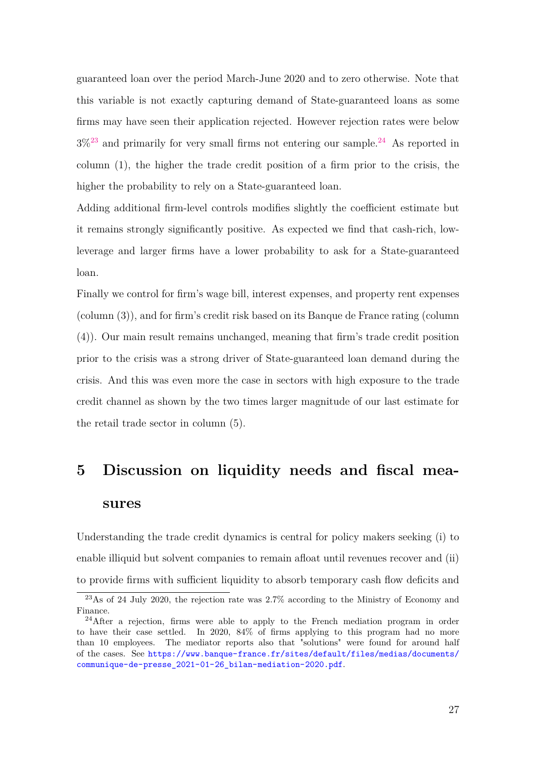guaranteed loan over the period March-June 2020 and to zero otherwise. Note that this variable is not exactly capturing demand of State-guaranteed loans as some firms may have seen their application rejected. However rejection rates were below  $3\%^{23}$  $3\%^{23}$  $3\%^{23}$  and primarily for very small firms not entering our sample.<sup>[24](#page-3-0)</sup> As reported in column (1), the higher the trade credit position of a firm prior to the crisis, the higher the probability to rely on a State-guaranteed loan.

Adding additional firm-level controls modifies slightly the coefficient estimate but it remains strongly significantly positive. As expected we find that cash-rich, lowleverage and larger firms have a lower probability to ask for a State-guaranteed loan.

Finally we control for firm's wage bill, interest expenses, and property rent expenses (column (3)), and for firm's credit risk based on its Banque de France rating (column (4)). Our main result remains unchanged, meaning that firm's trade credit position prior to the crisis was a strong driver of State-guaranteed loan demand during the crisis. And this was even more the case in sectors with high exposure to the trade credit channel as shown by the two times larger magnitude of our last estimate for the retail trade sector in column (5).

# <span id="page-29-0"></span>**5 Discussion on liquidity needs and fiscal measures**

Understanding the trade credit dynamics is central for policy makers seeking (i) to enable illiquid but solvent companies to remain afloat until revenues recover and (ii) to provide firms with sufficient liquidity to absorb temporary cash flow deficits and

<sup>23</sup>As of 24 July 2020, the rejection rate was 2.7% according to the Ministry of Economy and Finance.

<sup>&</sup>lt;sup>24</sup>After a rejection, firms were able to apply to the French mediation program in order to have their case settled. In 2020, 84% of firms applying to this program had no more than 10 employees. The mediator reports also that "solutions" were found for around half of the cases. See [https://www.banque-france.fr/sites/default/files/medias/documents/](https://www.banque-france.fr/sites/default/files/medias/documents/communique-de-presse_2021-01-26_bilan-mediation-2020.pdf) [communique-de-presse\\_2021-01-26\\_bilan-mediation-2020.pdf](https://www.banque-france.fr/sites/default/files/medias/documents/communique-de-presse_2021-01-26_bilan-mediation-2020.pdf).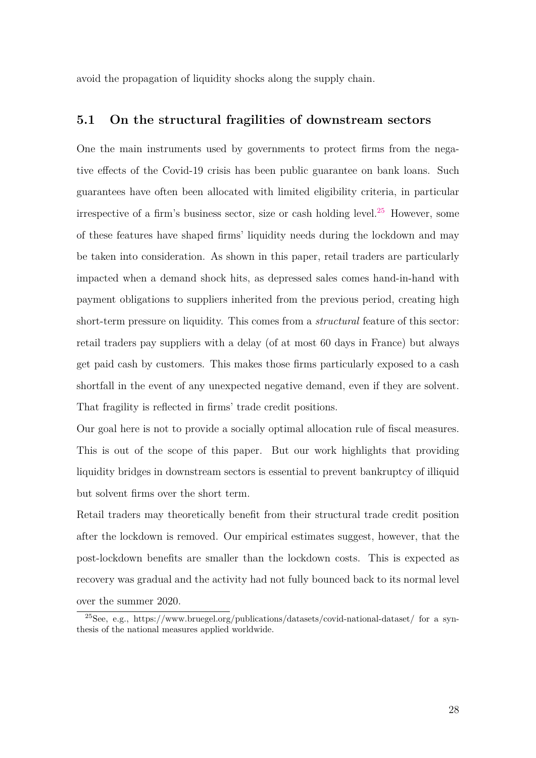avoid the propagation of liquidity shocks along the supply chain.

### **5.1 On the structural fragilities of downstream sectors**

One the main instruments used by governments to protect firms from the negative effects of the Covid-19 crisis has been public guarantee on bank loans. Such guarantees have often been allocated with limited eligibility criteria, in particular irrespective of a firm's business sector, size or cash holding level.<sup>[25](#page-3-0)</sup> However, some of these features have shaped firms' liquidity needs during the lockdown and may be taken into consideration. As shown in this paper, retail traders are particularly impacted when a demand shock hits, as depressed sales comes hand-in-hand with payment obligations to suppliers inherited from the previous period, creating high short-term pressure on liquidity. This comes from a *structural* feature of this sector: retail traders pay suppliers with a delay (of at most 60 days in France) but always get paid cash by customers. This makes those firms particularly exposed to a cash shortfall in the event of any unexpected negative demand, even if they are solvent. That fragility is reflected in firms' trade credit positions.

Our goal here is not to provide a socially optimal allocation rule of fiscal measures. This is out of the scope of this paper. But our work highlights that providing liquidity bridges in downstream sectors is essential to prevent bankruptcy of illiquid but solvent firms over the short term.

Retail traders may theoretically benefit from their structural trade credit position after the lockdown is removed. Our empirical estimates suggest, however, that the post-lockdown benefits are smaller than the lockdown costs. This is expected as recovery was gradual and the activity had not fully bounced back to its normal level over the summer 2020.

<sup>&</sup>lt;sup>25</sup>See, e.g., https://www.bruegel.org/publications/datasets/covid-national-dataset/ for a synthesis of the national measures applied worldwide.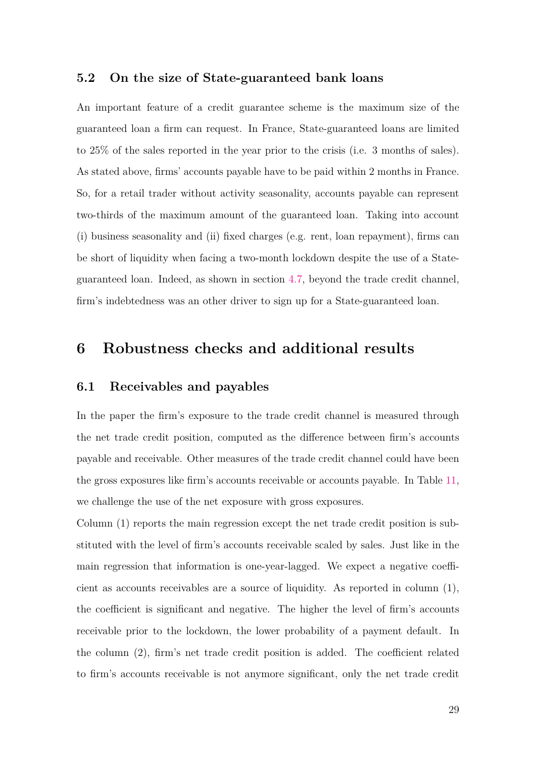### **5.2 On the size of State-guaranteed bank loans**

An important feature of a credit guarantee scheme is the maximum size of the guaranteed loan a firm can request. In France, State-guaranteed loans are limited to 25% of the sales reported in the year prior to the crisis (i.e. 3 months of sales). As stated above, firms' accounts payable have to be paid within 2 months in France. So, for a retail trader without activity seasonality, accounts payable can represent two-thirds of the maximum amount of the guaranteed loan. Taking into account (i) business seasonality and (ii) fixed charges (e.g. rent, loan repayment), firms can be short of liquidity when facing a two-month lockdown despite the use of a Stateguaranteed loan. Indeed, as shown in section [4.7,](#page-28-0) beyond the trade credit channel, firm's indebtedness was an other driver to sign up for a State-guaranteed loan.

### **6 Robustness checks and additional results**

### **6.1 Receivables and payables**

In the paper the firm's exposure to the trade credit channel is measured through the net trade credit position, computed as the difference between firm's accounts payable and receivable. Other measures of the trade credit channel could have been the gross exposures like firm's accounts receivable or accounts payable. In Table [11,](#page-52-0) we challenge the use of the net exposure with gross exposures.

Column (1) reports the main regression except the net trade credit position is substituted with the level of firm's accounts receivable scaled by sales. Just like in the main regression that information is one-year-lagged. We expect a negative coefficient as accounts receivables are a source of liquidity. As reported in column (1), the coefficient is significant and negative. The higher the level of firm's accounts receivable prior to the lockdown, the lower probability of a payment default. In the column (2), firm's net trade credit position is added. The coefficient related to firm's accounts receivable is not anymore significant, only the net trade credit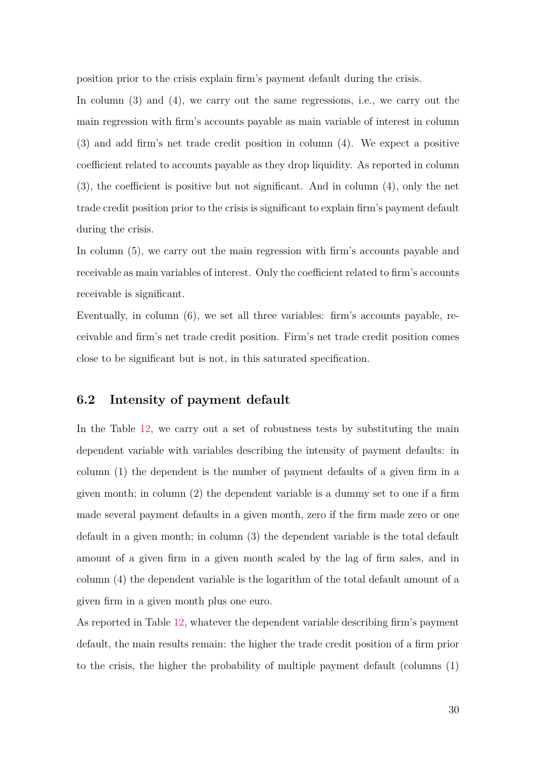position prior to the crisis explain firm's payment default during the crisis.

In column (3) and (4), we carry out the same regressions, i.e., we carry out the main regression with firm's accounts payable as main variable of interest in column (3) and add firm's net trade credit position in column (4). We expect a positive coefficient related to accounts payable as they drop liquidity. As reported in column (3), the coefficient is positive but not significant. And in column (4), only the net trade credit position prior to the crisis is significant to explain firm's payment default during the crisis.

In column (5), we carry out the main regression with firm's accounts payable and receivable as main variables of interest. Only the coefficient related to firm's accounts receivable is significant.

Eventually, in column (6), we set all three variables: firm's accounts payable, receivable and firm's net trade credit position. Firm's net trade credit position comes close to be significant but is not, in this saturated specification.

### **6.2 Intensity of payment default**

In the Table [12,](#page-53-0) we carry out a set of robustness tests by substituting the main dependent variable with variables describing the intensity of payment defaults: in column (1) the dependent is the number of payment defaults of a given firm in a given month; in column (2) the dependent variable is a dummy set to one if a firm made several payment defaults in a given month, zero if the firm made zero or one default in a given month; in column (3) the dependent variable is the total default amount of a given firm in a given month scaled by the lag of firm sales, and in column (4) the dependent variable is the logarithm of the total default amount of a given firm in a given month plus one euro.

As reported in Table [12,](#page-53-0) whatever the dependent variable describing firm's payment default, the main results remain: the higher the trade credit position of a firm prior to the crisis, the higher the probability of multiple payment default (columns (1)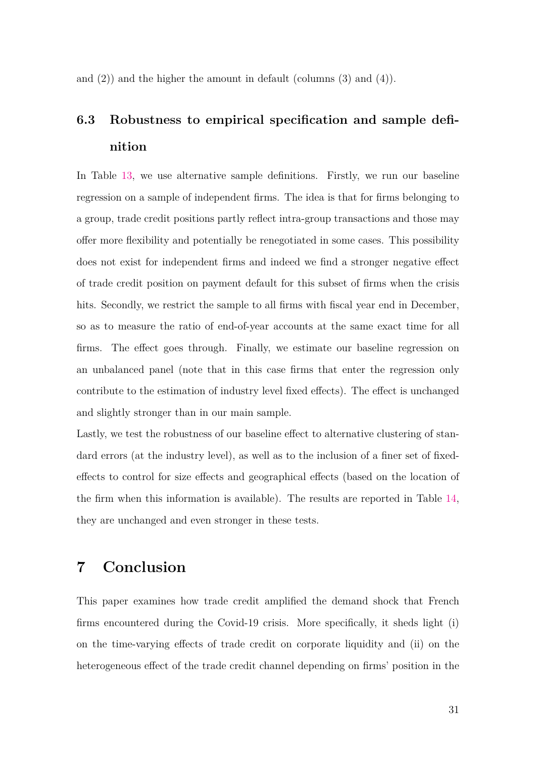and  $(2)$  and the higher the amount in default (columns  $(3)$  and  $(4)$ ).

# **6.3 Robustness to empirical specification and sample definition**

In Table [13,](#page-54-0) we use alternative sample definitions. Firstly, we run our baseline regression on a sample of independent firms. The idea is that for firms belonging to a group, trade credit positions partly reflect intra-group transactions and those may offer more flexibility and potentially be renegotiated in some cases. This possibility does not exist for independent firms and indeed we find a stronger negative effect of trade credit position on payment default for this subset of firms when the crisis hits. Secondly, we restrict the sample to all firms with fiscal year end in December, so as to measure the ratio of end-of-year accounts at the same exact time for all firms. The effect goes through. Finally, we estimate our baseline regression on an unbalanced panel (note that in this case firms that enter the regression only contribute to the estimation of industry level fixed effects). The effect is unchanged and slightly stronger than in our main sample.

Lastly, we test the robustness of our baseline effect to alternative clustering of standard errors (at the industry level), as well as to the inclusion of a finer set of fixedeffects to control for size effects and geographical effects (based on the location of the firm when this information is available). The results are reported in Table [14,](#page-55-0) they are unchanged and even stronger in these tests.

### **7 Conclusion**

This paper examines how trade credit amplified the demand shock that French firms encountered during the Covid-19 crisis. More specifically, it sheds light (i) on the time-varying effects of trade credit on corporate liquidity and (ii) on the heterogeneous effect of the trade credit channel depending on firms' position in the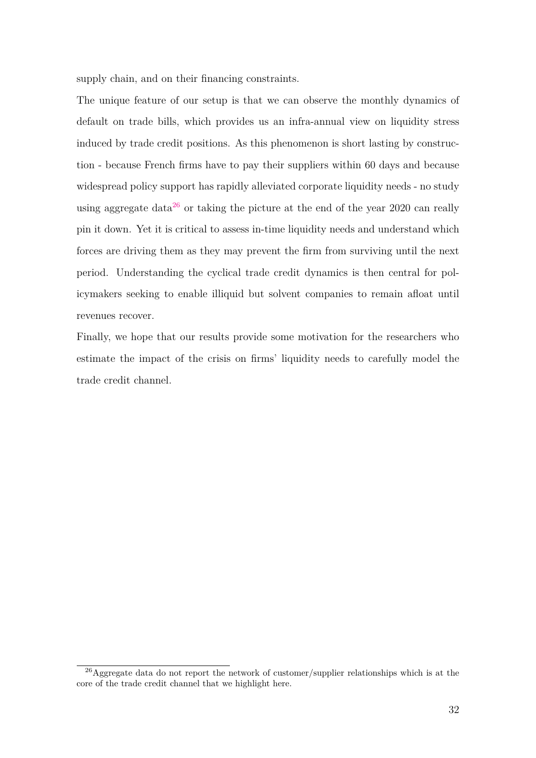supply chain, and on their financing constraints.

The unique feature of our setup is that we can observe the monthly dynamics of default on trade bills, which provides us an infra-annual view on liquidity stress induced by trade credit positions. As this phenomenon is short lasting by construction - because French firms have to pay their suppliers within 60 days and because widespread policy support has rapidly alleviated corporate liquidity needs - no study using aggregate data<sup>[26](#page-3-0)</sup> or taking the picture at the end of the year 2020 can really pin it down. Yet it is critical to assess in-time liquidity needs and understand which forces are driving them as they may prevent the firm from surviving until the next period. Understanding the cyclical trade credit dynamics is then central for policymakers seeking to enable illiquid but solvent companies to remain afloat until revenues recover.

Finally, we hope that our results provide some motivation for the researchers who estimate the impact of the crisis on firms' liquidity needs to carefully model the trade credit channel.

 $^{26}$ Aggregate data do not report the network of customer/supplier relationships which is at the core of the trade credit channel that we highlight here.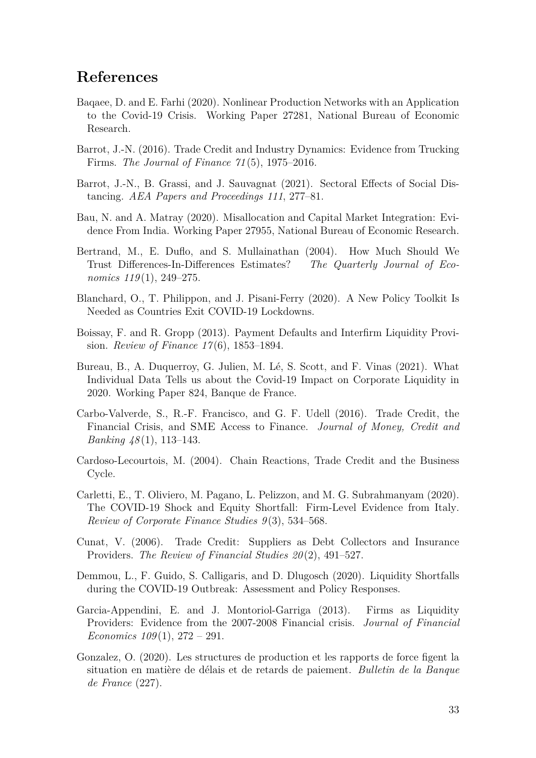### <span id="page-35-15"></span>**References**

- <span id="page-35-10"></span>Baqaee, D. and E. Farhi (2020). Nonlinear Production Networks with an Application to the Covid-19 Crisis. Working Paper 27281, National Bureau of Economic Research.
- <span id="page-35-3"></span>Barrot, J.-N. (2016). Trade Credit and Industry Dynamics: Evidence from Trucking Firms. *The Journal of Finance 71* (5), 1975–2016.
- <span id="page-35-11"></span>Barrot, J.-N., B. Grassi, and J. Sauvagnat (2021). Sectoral Effects of Social Distancing. *AEA Papers and Proceedings 111*, 277–81.
- <span id="page-35-13"></span>Bau, N. and A. Matray (2020). Misallocation and Capital Market Integration: Evidence From India. Working Paper 27955, National Bureau of Economic Research.
- <span id="page-35-12"></span>Bertrand, M., E. Duflo, and S. Mullainathan (2004). How Much Should We Trust Differences-In-Differences Estimates? *The Quarterly Journal of Economics 119* (1), 249–275.
- <span id="page-35-14"></span>Blanchard, O., T. Philippon, and J. Pisani-Ferry (2020). A New Policy Toolkit Is Needed as Countries Exit COVID-19 Lockdowns.
- <span id="page-35-5"></span>Boissay, F. and R. Gropp (2013). Payment Defaults and Interfirm Liquidity Provision. *Review of Finance 17* (6), 1853–1894.
- <span id="page-35-9"></span>Bureau, B., A. Duquerroy, G. Julien, M. Lé, S. Scott, and F. Vinas (2021). What Individual Data Tells us about the Covid-19 Impact on Corporate Liquidity in 2020. Working Paper 824, Banque de France.
- <span id="page-35-2"></span>Carbo-Valverde, S., R.-F. Francisco, and G. F. Udell (2016). Trade Credit, the Financial Crisis, and SME Access to Finance. *Journal of Money, Credit and Banking 48* (1), 113–143.
- <span id="page-35-4"></span>Cardoso-Lecourtois, M. (2004). Chain Reactions, Trade Credit and the Business Cycle.
- <span id="page-35-7"></span>Carletti, E., T. Oliviero, M. Pagano, L. Pelizzon, and M. G. Subrahmanyam (2020). The COVID-19 Shock and Equity Shortfall: Firm-Level Evidence from Italy. *Review of Corporate Finance Studies 9* (3), 534–568.
- <span id="page-35-0"></span>Cunat, V. (2006). Trade Credit: Suppliers as Debt Collectors and Insurance Providers. *The Review of Financial Studies 20* (2), 491–527.
- <span id="page-35-8"></span>Demmou, L., F. Guido, S. Calligaris, and D. Dlugosch (2020). Liquidity Shortfalls during the COVID-19 Outbreak: Assessment and Policy Responses.
- <span id="page-35-1"></span>Garcia-Appendini, E. and J. Montoriol-Garriga (2013). Firms as Liquidity Providers: Evidence from the 2007-2008 Financial crisis. *Journal of Financial Economics 109* (1), 272 – 291.
- <span id="page-35-6"></span>Gonzalez, O. (2020). Les structures de production et les rapports de force figent la situation en matière de délais et de retards de paiement. *Bulletin de la Banque de France* (227).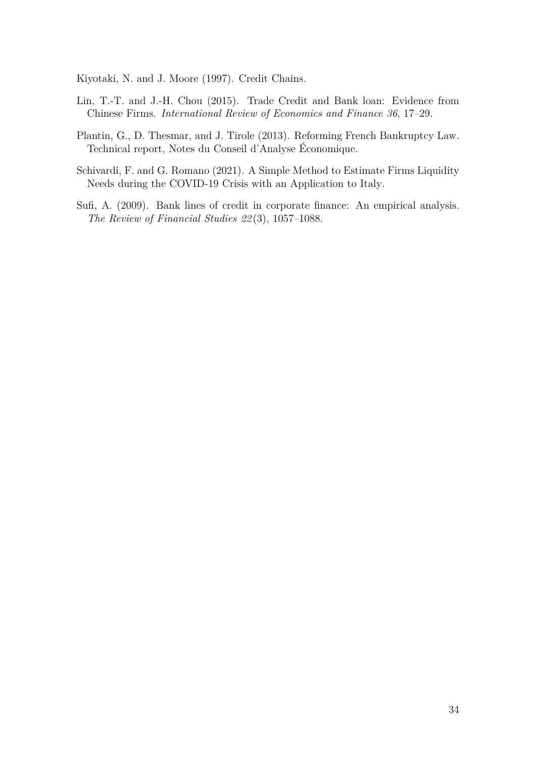<span id="page-36-1"></span>Kiyotaki, N. and J. Moore (1997). Credit Chains.

- <span id="page-36-0"></span>Lin, T.-T. and J.-H. Chou (2015). Trade Credit and Bank loan: Evidence from Chinese Firms. *International Review of Economics and Finance 36*, 17–29.
- <span id="page-36-3"></span>Plantin, G., D. Thesmar, and J. Tirole (2013). Reforming French Bankruptcy Law. Technical report, Notes du Conseil d'Analyse Économique.
- <span id="page-36-2"></span>Schivardi, F. and G. Romano (2021). A Simple Method to Estimate Firms Liquidity Needs during the COVID-19 Crisis with an Application to Italy.
- <span id="page-36-4"></span>Sufi, A. (2009). Bank lines of credit in corporate finance: An empirical analysis. *The Review of Financial Studies 22* (3), 1057–1088.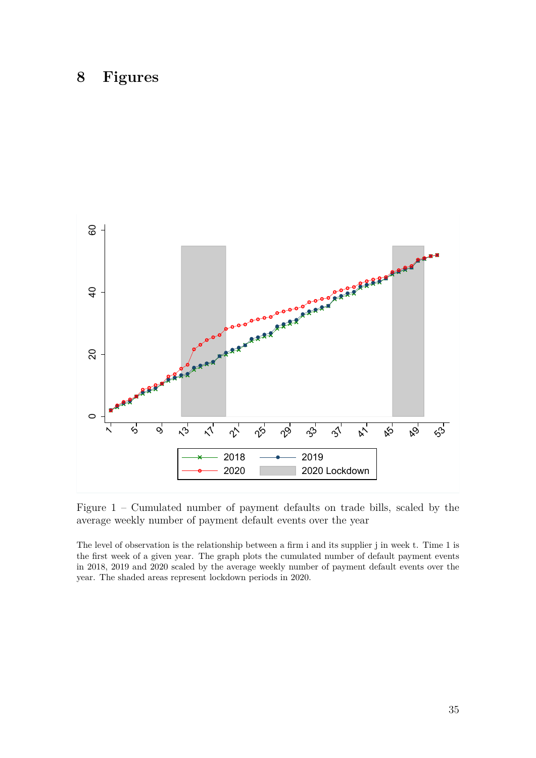## **8 Figures**

<span id="page-37-0"></span>

Figure 1 – Cumulated number of payment defaults on trade bills, scaled by the average weekly number of payment default events over the year

The level of observation is the relationship between a firm i and its supplier j in week t. Time 1 is the first week of a given year. The graph plots the cumulated number of default payment events in 2018, 2019 and 2020 scaled by the average weekly number of payment default events over the year. The shaded areas represent lockdown periods in 2020.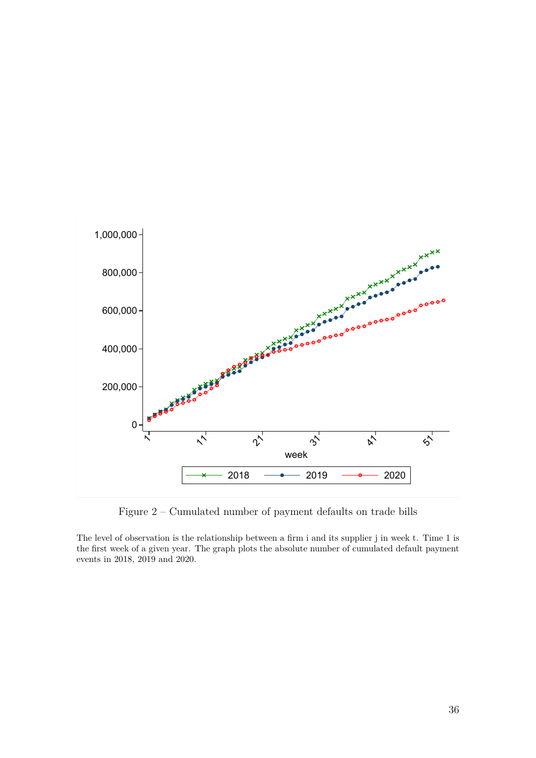<span id="page-38-0"></span>

Figure 2 – Cumulated number of payment defaults on trade bills

The level of observation is the relationship between a firm i and its supplier j in week t. Time 1 is the first week of a given year. The graph plots the absolute number of cumulated default payment events in 2018, 2019 and 2020.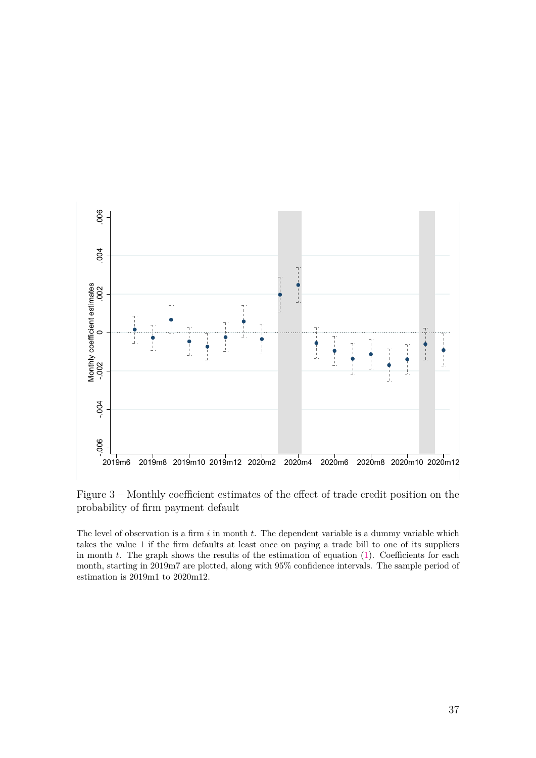<span id="page-39-0"></span>

Figure 3 – Monthly coefficient estimates of the effect of trade credit position on the probability of firm payment default

The level of observation is a firm *i* in month *t*. The dependent variable is a dummy variable which takes the value 1 if the firm defaults at least once on paying a trade bill to one of its suppliers in month *t*. The graph shows the results of the estimation of equation [\(1\)](#page-15-0). Coefficients for each month, starting in 2019m7 are plotted, along with 95% confidence intervals. The sample period of estimation is 2019m1 to 2020m12.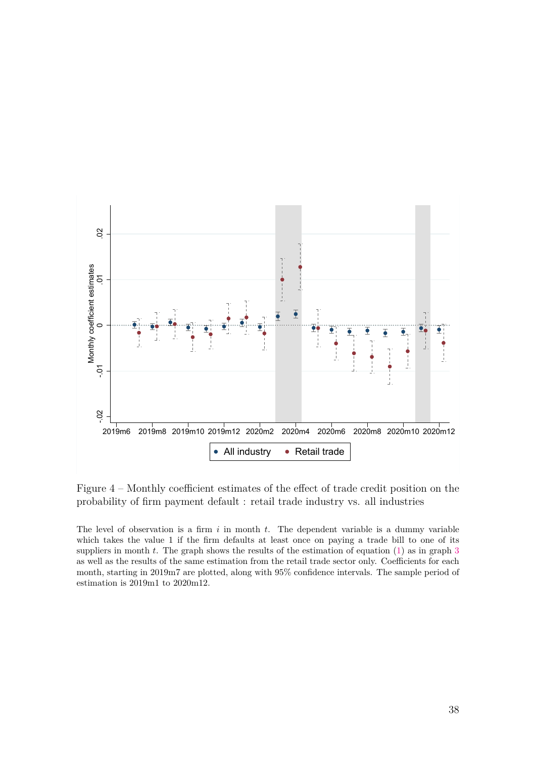

Figure 4 – Monthly coefficient estimates of the effect of trade credit position on the probability of firm payment default : retail trade industry vs. all industries

The level of observation is a firm *i* in month *t*. The dependent variable is a dummy variable which takes the value 1 if the firm defaults at least once on paying a trade bill to one of its suppliers in month *t*. The graph shows the results of the estimation of equation [\(1\)](#page-15-0) as in graph [3](#page-39-0) as well as the results of the same estimation from the retail trade sector only. Coefficients for each month, starting in 2019m7 are plotted, along with 95% confidence intervals. The sample period of estimation is 2019m1 to 2020m12.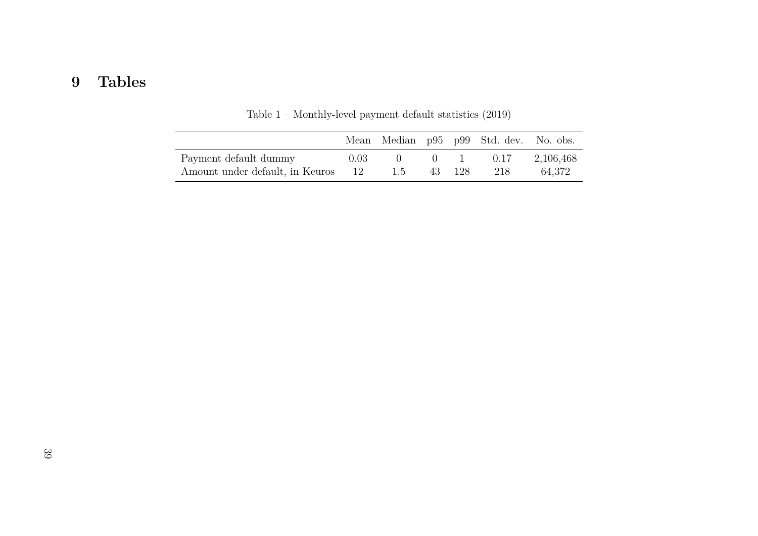# **9 Tables**

<span id="page-41-0"></span>

|                                 |           |              |                | Mean Median p95 p99 Std. dev. No. obs. |           |
|---------------------------------|-----------|--------------|----------------|----------------------------------------|-----------|
| Payment default dummy           | 0.03      |              | $\mathbf{0}$ 1 | 0.17                                   | 2,106,468 |
| Amount under default, in Keuros | $\sim$ 12 | $\mathsf{L}$ | 43 128         | 218                                    | 64.372    |

Table <sup>1</sup> – Monthly-level payment default statistics (2019)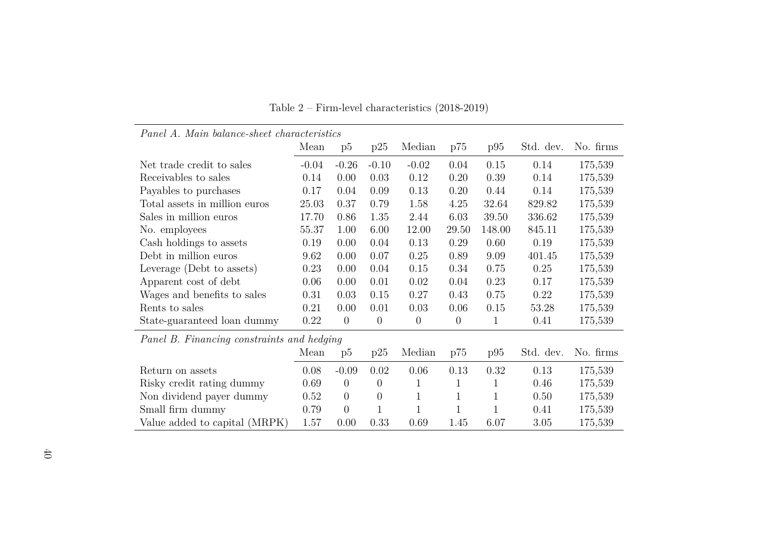<span id="page-42-0"></span>

| Panel A. Main balance-sheet characteristics |         |                |                  |              |              |              |           |           |  |
|---------------------------------------------|---------|----------------|------------------|--------------|--------------|--------------|-----------|-----------|--|
|                                             | Mean    | p5             | p25              | Median       | p75          | p95          | Std. dev. | No. firms |  |
| Net trade credit to sales                   | $-0.04$ | $-0.26$        | $-0.10$          | $-0.02$      | 0.04         | 0.15         | 0.14      | 175,539   |  |
| Receivables to sales                        | 0.14    | 0.00           | 0.03             | 0.12         | 0.20         | 0.39         | 0.14      | 175,539   |  |
| Payables to purchases                       | 0.17    | 0.04           | 0.09             | 0.13         | 0.20         | 0.44         | 0.14      | 175,539   |  |
| Total assets in million euros               | 25.03   | 0.37           | 0.79             | 1.58         | 4.25         | 32.64        | 829.82    | 175,539   |  |
| Sales in million euros                      | 17.70   | 0.86           | 1.35             | 2.44         | 6.03         | 39.50        | 336.62    | 175,539   |  |
| No. employees                               | 55.37   | 1.00           | 6.00             | 12.00        | 29.50        | 148.00       | 845.11    | 175,539   |  |
| Cash holdings to assets                     | 0.19    | 0.00           | 0.04             | 0.13         | 0.29         | 0.60         | 0.19      | 175,539   |  |
| Debt in million euros                       | 9.62    | 0.00           | 0.07             | 0.25         | 0.89         | 9.09         | 401.45    | 175,539   |  |
| Leverage (Debt to assets)                   | 0.23    | 0.00           | 0.04             | 0.15         | 0.34         | 0.75         | 0.25      | 175,539   |  |
| Apparent cost of debt                       | 0.06    | 0.00           | 0.01             | 0.02         | 0.04         | 0.23         | 0.17      | 175,539   |  |
| Wages and benefits to sales                 | 0.31    | 0.03           | 0.15             | 0.27         | 0.43         | 0.75         | 0.22      | 175,539   |  |
| Rents to sales                              | 0.21    | 0.00           | 0.01             | 0.03         | 0.06         | 0.15         | 53.28     | 175,539   |  |
| State-guaranteed loan dummy                 | 0.22    | $\overline{0}$ | $\boldsymbol{0}$ | $\theta$     | $\theta$     | 1            | 0.41      | 175,539   |  |
| Panel B. Financing constraints and hedging  |         |                |                  |              |              |              |           |           |  |
|                                             | Mean    | p5             | p25              | Median       | p75          | p95          | Std. dev. | No. firms |  |
| Return on assets                            | 0.08    | $-0.09$        | 0.02             | 0.06         | 0.13         | 0.32         | 0.13      | 175,539   |  |
| Risky credit rating dummy                   | 0.69    | $\overline{0}$ | $\theta$         | 1            | $\mathbf{1}$ | 1            | 0.46      | 175,539   |  |
| Non dividend payer dummy                    | 0.52    | $\overline{0}$ | $\overline{0}$   | $\mathbf{1}$ | $\mathbf{1}$ | $\mathbf{1}$ | 0.50      | 175,539   |  |
| Small firm dummy                            | 0.79    | $\theta$       | $\mathbf{1}$     | $\mathbf{1}$ | $\mathbf{1}$ | 1            | 0.41      | 175,539   |  |
| Value added to capital (MRPK)               | 1.57    | 0.00           | 0.33             | 0.69         | 1.45         | 6.07         | 3.05      | 175,539   |  |

Table <sup>2</sup> – Firm-level characteristics (2018-2019)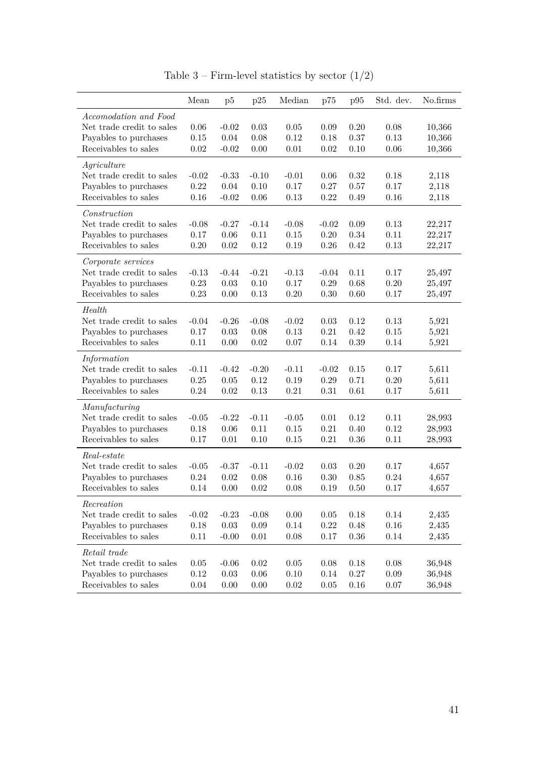<span id="page-43-0"></span>

|                                                                                                     | Mean                             | p5                              | p25                              | Median                            | p75                              | p95                          | Std. dev.                    | No.firms                   |
|-----------------------------------------------------------------------------------------------------|----------------------------------|---------------------------------|----------------------------------|-----------------------------------|----------------------------------|------------------------------|------------------------------|----------------------------|
| Accomodation and Food<br>Net trade credit to sales<br>Payables to purchases<br>Receivables to sales | 0.06<br>0.15<br>0.02             | $-0.02$<br>0.04<br>$-0.02$      | 0.03<br>0.08<br>0.00             | 0.05<br>$0.12\,$<br>0.01          | 0.09<br>0.18<br>0.02             | 0.20<br>0.37<br>0.10         | 0.08<br>0.13<br>0.06         | 10,366<br>10,366<br>10,366 |
| Agriculture<br>Net trade credit to sales<br>Payables to purchases<br>Receivables to sales           | $-0.02$<br>0.22<br>0.16          | $-0.33$<br>0.04<br>$-0.02$      | $-0.10$<br>0.10<br>0.06          | $-0.01$<br>0.17<br>$0.13\,$       | 0.06<br>0.27<br>$\rm 0.22$       | 0.32<br>0.57<br>0.49         | 0.18<br>0.17<br>0.16         | 2,118<br>2,118<br>2,118    |
| Construction<br>Net trade credit to sales<br>Payables to purchases<br>Receivables to sales          | $-0.08$<br>$0.17\,$<br>0.20      | $-0.27$<br>0.06<br>0.02         | $-0.14$<br>0.11<br>0.12          | $-0.08$<br>$0.15\,$<br>0.19       | $-0.02$<br>$0.20\,$<br>$0.26\,$  | 0.09<br>0.34<br>0.42         | 0.13<br>0.11<br>0.13         | 22,217<br>22,217<br>22,217 |
| Corporate services<br>Net trade credit to sales<br>Payables to purchases<br>Receivables to sales    | $-0.13$<br>0.23<br>0.23          | $-0.44$<br>0.03<br>0.00         | $-0.21$<br>0.10<br>0.13          | $-0.13$<br>$0.17\,$<br>$0.20\,$   | $-0.04$<br>$0.29\,$<br>$0.30\,$  | 0.11<br>0.68<br>0.60         | 0.17<br>0.20<br>0.17         | 25,497<br>25,497<br>25,497 |
| Health<br>Net trade credit to sales<br>Payables to purchases<br>Receivables to sales                | $-0.04$<br>0.17<br>0.11          | $-0.26$<br>$0.03\,$<br>0.00     | $-0.08$<br>0.08<br>0.02          | $-0.02$<br>0.13<br>0.07           | 0.03<br>0.21<br>0.14             | 0.12<br>0.42<br>0.39         | 0.13<br>0.15<br>0.14         | 5,921<br>5,921<br>5,921    |
| Information<br>Net trade credit to sales<br>Payables to purchases<br>Receivables to sales           | $-0.11$<br>0.25<br>0.24          | $-0.42$<br>0.05<br>0.02         | $-0.20$<br>0.12<br>0.13          | $-0.11$<br>$0.19\,$<br>$\rm 0.21$ | $-0.02$<br>$0.29\,$<br>$0.31\,$  | 0.15<br>0.71<br>0.61         | 0.17<br>0.20<br>0.17         | 5,611<br>5,611<br>5,611    |
| Manufacturing<br>Net trade credit to sales<br>Payables to purchases<br>Receivables to sales         | $-0.05$<br>0.18<br>0.17          | $-0.22$<br>0.06<br>0.01         | $-0.11$<br>0.11<br>0.10          | $-0.05$<br>$0.15\,$<br>0.15       | 0.01<br>$\rm 0.21$<br>$\rm 0.21$ | 0.12<br>0.40<br>0.36         | 0.11<br>0.12<br>0.11         | 28,993<br>28,993<br>28,993 |
| Real-estate<br>Net trade credit to sales<br>Payables to purchases<br>Receivables to sales           | $-0.05$<br>0.24<br>0.14          | $-0.37$<br>0.02<br>0.00         | $-0.11$<br>0.08<br>0.02          | $-0.02$<br>$0.16\,$<br>0.08       | 0.03<br>0.30<br>0.19             | 0.20<br>0.85<br>0.50         | 0.17<br>0.24<br>0.17         | 4,657<br>4,657<br>4,657    |
| Recreation<br>Net trade credit to sales<br>Payables to purchases<br>Receivables to sales            | $-0.02$<br>$0.18\,$<br>$0.11\,$  | $-0.23$<br>$0.03\,$<br>$-0.00$  | $-0.08$<br>$0.09\,$<br>$0.01\,$  | $0.00\,$<br>$0.14\,$<br>$0.08\,$  | $0.05\,$<br>0.22<br>$0.17\,$     | $0.18\,$<br>0.48<br>$0.36\,$ | $0.14\,$<br>0.16<br>$0.14\,$ | 2,435<br>2,435<br>2,435    |
| Retail trade<br>Net trade credit to sales<br>Payables to purchases<br>Receivables to sales          | $0.05\,$<br>$0.12\,$<br>$0.04\,$ | $-0.06$<br>$0.03\,$<br>$0.00\,$ | $0.02\,$<br>$0.06\,$<br>$0.00\,$ | $0.05\,$<br>$0.10\,$<br>$0.02\,$  | 0.08<br>$0.14\,$<br>$0.05\,$     | 0.18<br>0.27<br>$0.16\,$     | 0.08<br>0.09<br>0.07         | 36,948<br>36,948<br>36,948 |

Table 3 – Firm-level statistics by sector  $(1/2)$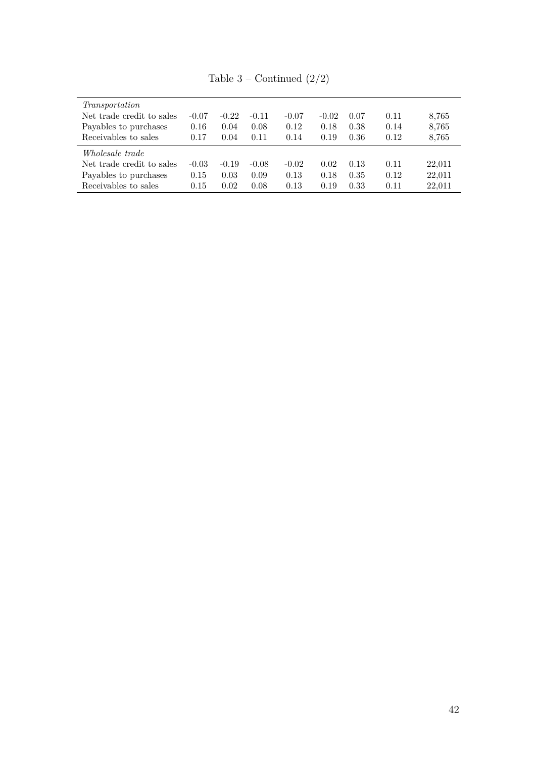| Transportation            |         |         |         |         |         |      |      |        |
|---------------------------|---------|---------|---------|---------|---------|------|------|--------|
| Net trade credit to sales | $-0.07$ | $-0.22$ | $-0.11$ | $-0.07$ | $-0.02$ | 0.07 | 0.11 | 8,765  |
| Payables to purchases     | 0.16    | 0.04    | 0.08    | 0.12    | 0.18    | 0.38 | 0.14 | 8,765  |
| Receivables to sales      | 0.17    | 0.04    | 0.11    | 0.14    | 0.19    | 0.36 | 0.12 | 8,765  |
| <i>Wholesale trade</i>    |         |         |         |         |         |      |      |        |
| Net trade credit to sales | $-0.03$ | $-0.19$ | $-0.08$ | $-0.02$ | 0.02    | 0.13 | 0.11 | 22,011 |
| Payables to purchases     | 0.15    | 0.03    | 0.09    | 0.13    | 0.18    | 0.35 | 0.12 | 22,011 |
| Receivables to sales      | 0.15    | 0.02    | 0.08    | 0.13    | 0.19    | 0.33 | 0.11 | 22,011 |
|                           |         |         |         |         |         |      |      |        |

Table 3 – Continued  $(2/2)$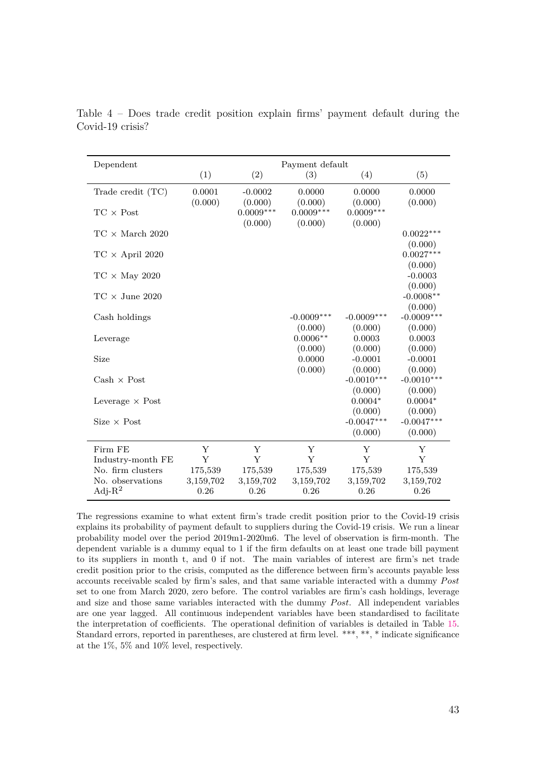<span id="page-45-1"></span>

| Dependent                              |              |              | Payment default |                      |                         |
|----------------------------------------|--------------|--------------|-----------------|----------------------|-------------------------|
|                                        | (1)          | (2)          | (3)             | (4)                  | (5)                     |
| Trade credit (TC)                      | 0.0001       | $-0.0002$    | 0.0000          | 0.0000               | 0.0000                  |
|                                        | (0.000)      | (0.000)      | (0.000)         | (0.000)              | (0.000)                 |
| $TC \times Post$                       |              | $0.0009***$  | $0.0009***$     | $0.0009***$          |                         |
| $TC \times March 2020$                 |              | (0.000)      | (0.000)         | (0.000)              | $0.0022***$             |
|                                        |              |              |                 |                      | (0.000)                 |
| $TC \times April 2020$                 |              |              |                 |                      | $0.0027***$             |
|                                        |              |              |                 |                      | (0.000)                 |
| $TC \times$ May 2020                   |              |              |                 |                      | $-0.0003$               |
|                                        |              |              |                 |                      | (0.000)                 |
| $TC \times June 2020$                  |              |              |                 |                      | $-0.0008**$             |
| Cash holdings                          |              |              | $-0.0009***$    | $-0.0009***$         | (0.000)<br>$-0.0009***$ |
|                                        |              |              | (0.000)         | (0.000)              | (0.000)                 |
| Leverage                               |              |              | $0.0006**$      | 0.0003               | 0.0003                  |
|                                        |              |              | (0.000)         | (0.000)              | (0.000)                 |
| Size                                   |              |              | 0.0000          | $-0.0001$            | $-0.0001$               |
|                                        |              |              | (0.000)         | (0.000)              | (0.000)                 |
| $Cash \times Post$                     |              |              |                 | $-0.0010***$         | $-0.0010***$            |
|                                        |              |              |                 | (0.000)              | (0.000)                 |
| Leverage $\times$ Post                 |              |              |                 | $0.0004*$<br>(0.000) | $0.0004*$               |
| $Size \times Post$                     |              |              |                 | $-0.0047***$         | (0.000)<br>$-0.0047***$ |
|                                        |              |              |                 | (0.000)              | (0.000)                 |
|                                        |              |              |                 |                      |                         |
| Firm FE                                | Y            | Y            | Y               | Y                    | Y                       |
| Industry-month FE<br>No. firm clusters | Y<br>175,539 | Y<br>175,539 | Y<br>175,539    | Y<br>175,539         | Y<br>175,539            |
| No. observations                       | 3,159,702    | 3,159,702    | 3,159,702       | 3,159,702            | 3,159,702               |
| Adj- $R^2$                             | 0.26         | 0.26         | 0.26            | 0.26                 | 0.26                    |
|                                        |              |              |                 |                      |                         |

<span id="page-45-0"></span>Table 4 – Does trade credit position explain firms' payment default during the Covid-19 crisis?

The regressions examine to what extent firm's trade credit position prior to the Covid-19 crisis explains its probability of payment default to suppliers during the Covid-19 crisis. We run a linear probability model over the period 2019m1-2020m6. The level of observation is firm-month. The dependent variable is a dummy equal to 1 if the firm defaults on at least one trade bill payment to its suppliers in month t, and 0 if not. The main variables of interest are firm's net trade credit position prior to the crisis, computed as the difference between firm's accounts payable less accounts receivable scaled by firm's sales, and that same variable interacted with a dummy *Post* set to one from March 2020, zero before. The control variables are firm's cash holdings, leverage and size and those same variables interacted with the dummy *Post*. All independent variables are one year lagged. All continuous independent variables have been standardised to facilitate the interpretation of coefficients. The operational definition of variables is detailed in Table [15.](#page-56-0) Standard errors, reported in parentheses, are clustered at firm level. \*\*\*, \*\*, \* indicate significance at the 1%, 5% and 10% level, respectively.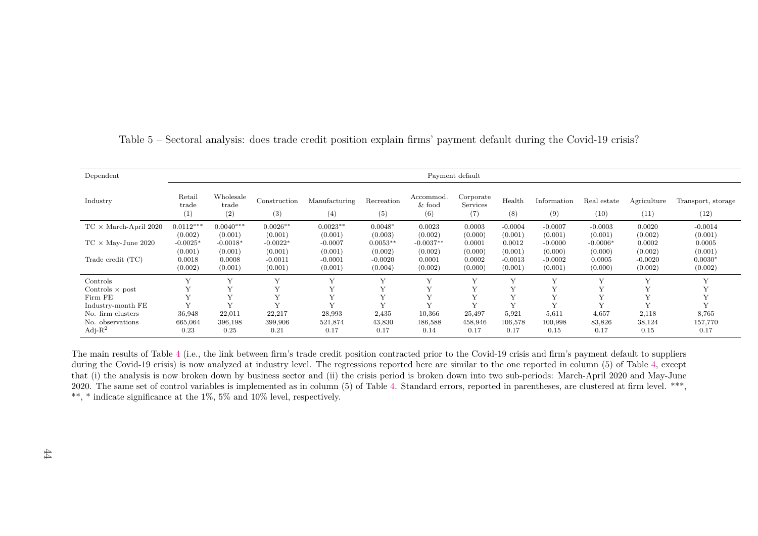| Dependent                                        |                                                       | Payment default                                       |                                                          |                                                         |                                                          |                                                        |                                                   |                                                      |                                                         |                                                       |                                                      |                                                      |
|--------------------------------------------------|-------------------------------------------------------|-------------------------------------------------------|----------------------------------------------------------|---------------------------------------------------------|----------------------------------------------------------|--------------------------------------------------------|---------------------------------------------------|------------------------------------------------------|---------------------------------------------------------|-------------------------------------------------------|------------------------------------------------------|------------------------------------------------------|
| Industry                                         | Retail<br>trade<br>(1)                                | Wholesale<br>trade<br>(2)                             | Construction<br>(3)                                      | Manufacturing<br>(4)                                    | Recreation<br>(5)                                        | Accommod.<br>$&$ food<br>(6)                           | Corporate<br>Services<br>(7)                      | Health<br>(8)                                        | Information<br>(9)                                      | Real estate<br>(10)                                   | Agriculture<br>(11)                                  | Transport, storage<br>(12)                           |
| $\text{TC} \times \text{March-April 2020}$       | $0.0112***$                                           | $0.0040***$                                           | $0.0026**$                                               | $0.0023**$                                              | $0.0048*$                                                | 0.0023                                                 | 0.0003                                            | $-0.0004$                                            | $-0.0007$                                               | $-0.0003$                                             | 0.0020                                               | $-0.0014$                                            |
| $TC \times$ May-June 2020<br>Trade credit $(TC)$ | (0.002)<br>$-0.0025*$<br>(0.001)<br>0.0018<br>(0.002) | (0.001)<br>$-0.0018*$<br>(0.001)<br>0.0008<br>(0.001) | (0.001)<br>$-0.0022*$<br>(0.001)<br>$-0.0011$<br>(0.001) | (0.001)<br>$-0.0007$<br>(0.001)<br>$-0.0001$<br>(0.001) | (0.003)<br>$0.0053**$<br>(0.002)<br>$-0.0020$<br>(0.004) | (0.002)<br>$-0.0037**$<br>(0.002)<br>0.0001<br>(0.002) | (0.000)<br>0.0001<br>(0.000)<br>0.0002<br>(0.000) | (0.001)<br>0.0012<br>(0.001)<br>$-0.0013$<br>(0.001) | (0.001)<br>$-0.0000$<br>(0.000)<br>$-0.0002$<br>(0.001) | (0.001)<br>$-0.0006*$<br>(0.000)<br>0.0005<br>(0.000) | (0.002)<br>0.0002<br>(0.002)<br>$-0.0020$<br>(0.002) | (0.001)<br>0.0005<br>(0.001)<br>$0.0030*$<br>(0.002) |
| Controls                                         |                                                       |                                                       | $\mathbf{v}$                                             |                                                         |                                                          |                                                        | $\mathbf{v}$                                      |                                                      | $\mathbf{v}$                                            |                                                       | $\mathbf{v}$                                         |                                                      |
| Controls $\times$ post                           |                                                       |                                                       | $\mathbf{v}$                                             | $\mathbf{v}$                                            | Y                                                        |                                                        | $\mathbf{v}$                                      |                                                      | $\mathbf{v}$                                            |                                                       | $\mathbf{v}$                                         |                                                      |
| Firm FE                                          |                                                       |                                                       | $\mathbf v$                                              |                                                         |                                                          |                                                        | $\tau$                                            |                                                      |                                                         |                                                       |                                                      |                                                      |
| Industry-month FE                                | $\mathbf{v}$                                          | $\mathbf{v}$                                          | $\mathbf{v}$                                             | $\mathbf{v}$                                            | V                                                        | Y                                                      | $\mathbf{v}$                                      | $\mathbf{v}$                                         | $\mathbf{v}$                                            | $\mathbf{v}$                                          | $\mathbf{v}$                                         |                                                      |
| No. firm clusters                                | 36,948                                                | 22,011                                                | 22,217                                                   | 28,993                                                  | 2,435                                                    | 10,366                                                 | 25,497                                            | 5,921                                                | 5,611                                                   | 4,657                                                 | 2,118                                                | 8,765                                                |
| No. observations                                 | 665,064                                               | 396,198                                               | 399,906                                                  | 521,874                                                 | 43,830                                                   | 186,588                                                | 458,946                                           | 106,578                                              | 100,998                                                 | 83,826                                                | 38,124                                               | 157,770                                              |
| Adj- $R^2$                                       | 0.23                                                  | 0.25                                                  | 0.21                                                     | 0.17                                                    | 0.17                                                     | 0.14                                                   | 0.17                                              | 0.17                                                 | 0.15                                                    | 0.17                                                  | 0.15                                                 | 0.17                                                 |

Table 5 – Sectoral analysis: does trade credit position explain firms' payment default during the Covid-19 crisis?

<span id="page-46-0"></span>The main results of Table [4](#page-45-1) (i.e., the link between firm's trade credit position contracted prior to the Covid-19 crisis and firm's payment default to suppliers during the Covid-19 crisis) is now analyzed at industry level. The regressions reported here are similar to the one reported in column (5) of Table [4,](#page-45-1) except that (i) the analysis is now broken down by business sector and (ii) the crisis period is broken down into two sub-periods: March-April <sup>2020</sup> and May-June2020. The same set of control variables is implemented as in column (5) of Table [4.](#page-45-1) Standard errors, reported in parentheses, are clustered at firm level. \*\*\*, \*\*, \* indicate significance at the 1%, 5% and 10% level, respectively.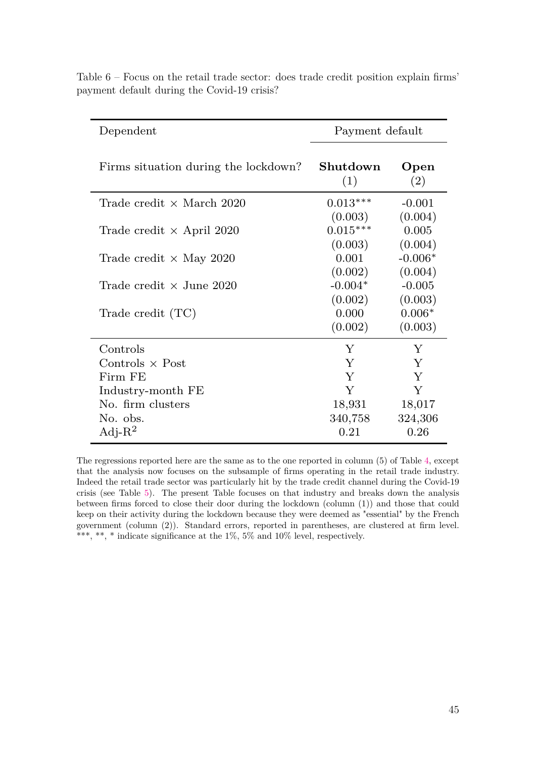| Dependent                                            | Payment default                                     |                                                       |  |  |
|------------------------------------------------------|-----------------------------------------------------|-------------------------------------------------------|--|--|
| Firms situation during the lockdown?                 | Shutdown<br>(1)                                     | Open<br>(2)                                           |  |  |
| Trade credit $\times$ March 2020                     | $0.013***$                                          | $-0.001$                                              |  |  |
| Trade credit $\times$ April 2020                     | (0.003)<br>$0.015***$<br>(0.003)                    | (0.004)<br>0.005<br>(0.004)                           |  |  |
| Trade credit $\times$ May 2020                       | 0.001                                               | $-0.006*$                                             |  |  |
| Trade credit $\times$ June 2020<br>Trade credit (TC) | (0.002)<br>$-0.004*$<br>(0.002)<br>0.000<br>(0.002) | (0.004)<br>$-0.005$<br>(0.003)<br>$0.006*$<br>(0.003) |  |  |
| Controls                                             | Y                                                   | Y                                                     |  |  |
| Controls $\times$ Post                               | Y                                                   | Y                                                     |  |  |
| Firm FE                                              | Y                                                   | Y                                                     |  |  |
| Industry-month FE                                    | Y                                                   | Y                                                     |  |  |
| No. firm clusters                                    | 18,931                                              | 18,017                                                |  |  |
| No. obs.                                             | 340,758                                             | 324,306                                               |  |  |
| Adj- $R^2$                                           | 0.21                                                | 0.26                                                  |  |  |

<span id="page-47-0"></span>Table 6 – Focus on the retail trade sector: does trade credit position explain firms' payment default during the Covid-19 crisis?

The regressions reported here are the same as to the one reported in column (5) of Table [4,](#page-45-0) except that the analysis now focuses on the subsample of firms operating in the retail trade industry. Indeed the retail trade sector was particularly hit by the trade credit channel during the Covid-19 crisis (see Table [5\)](#page-46-0). The present Table focuses on that industry and breaks down the analysis between firms forced to close their door during the lockdown (column (1)) and those that could keep on their activity during the lockdown because they were deemed as "essential" by the French government (column (2)). Standard errors, reported in parentheses, are clustered at firm level. \*\*\*, \*\*, \* indicate significance at the  $1\%$ , 5% and  $10\%$  level, respectively.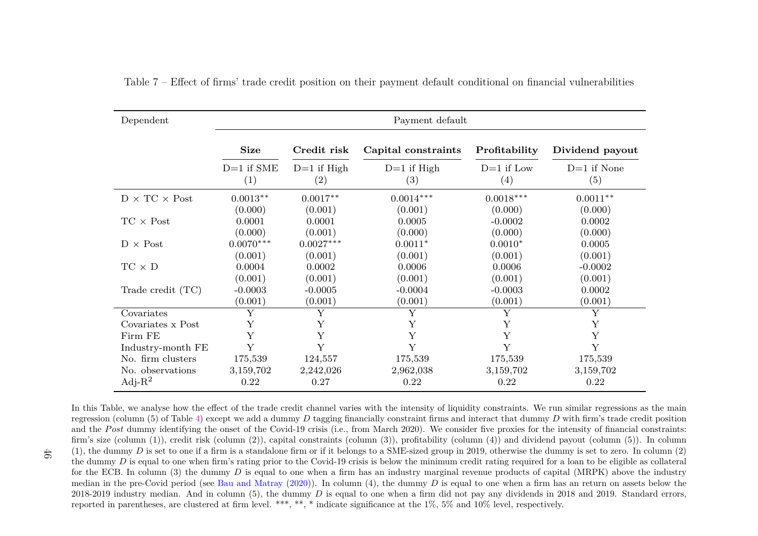| Dependent                 | Payment default        |                                    |                      |                      |                      |  |  |  |  |
|---------------------------|------------------------|------------------------------------|----------------------|----------------------|----------------------|--|--|--|--|
|                           | <b>Size</b>            | Credit risk                        | Capital constraints  | Profitability        | Dividend payout      |  |  |  |  |
|                           | $D=1$ if SME<br>(1)    | $D=1$ if High<br>$\left( 2\right)$ | $D=1$ if High<br>(3) | $D=1$ if Low<br>(4)  | $D=1$ if None<br>(5) |  |  |  |  |
| $D \times TC \times Post$ | $0.0013**$             | $0.0017**$                         | $0.0014***$          | $0.0018***$          | $0.0011**$           |  |  |  |  |
| $TC \times Post$          | (0.000)<br>0.0001      | (0.001)<br>0.0001                  | (0.001)<br>0.0005    | (0.000)<br>$-0.0002$ | (0.000)<br>0.0002    |  |  |  |  |
| $D \times Post$           | (0.000)<br>$0.0070***$ | (0.001)<br>$0.0027***$             | (0.000)<br>$0.0011*$ | (0.000)<br>$0.0010*$ | (0.000)<br>0.0005    |  |  |  |  |
| $TC \times D$             | (0.001)<br>0.0004      | (0.001)<br>0.0002                  | (0.001)<br>0.0006    | (0.001)<br>0.0006    | (0.001)<br>$-0.0002$ |  |  |  |  |
| Trade credit (TC)         | (0.001)<br>$-0.0003$   | (0.001)<br>$-0.0005$               | (0.001)<br>$-0.0004$ | (0.001)<br>$-0.0003$ | (0.001)<br>0.0002    |  |  |  |  |
| Covariates                | (0.001)<br>Y           | (0.001)<br>Υ                       | (0.001)<br>Y         | (0.001)<br>Y         | (0.001)<br>Y         |  |  |  |  |
| Covariates x Post         | Y                      | Y                                  | Υ                    | Y                    | Y                    |  |  |  |  |
| Firm FE                   | Y                      | Y                                  | Y                    | Y                    | Y                    |  |  |  |  |
| Industry-month FE         | Y                      | Y                                  | Y                    | Y                    | Y                    |  |  |  |  |
| No. firm clusters         | 175,539                | 124,557                            | 175,539              | 175,539              | 175,539              |  |  |  |  |
| No. observations          | 3,159,702              | 2,242,026                          | 2,962,038            | 3,159,702            | 3,159,702            |  |  |  |  |
| Adj- $R^2$                | 0.22                   | 0.27                               | 0.22                 | 0.22                 | 0.22                 |  |  |  |  |

Table 7 – Effect of firms' trade credit position on their payment default conditional on financial vulnerabilities

<span id="page-48-0"></span>In this Table, we analyse how the effect of the trade credit channel varies with the intensity of liquidity constraints. We run similar regressions as the main regression (column (5) of Table [4\)](#page-45-1) except we add a dummy *D* tagging financially constraint firms and interact that dummy *D* with firm's trade credit position and the *Post* dummy identifying the onset of the Covid-19 crisis (i.e., from March 2020). We consider five proxies for the intensity of financial constraints: firm's size (column (1)), credit risk (column (2)), capital constraints (column (3)), profitability (column (4)) and dividend payout (column (5)). In column(1), the dummy  $D$  is set to one if a firm is a standalone firm or if it belongs to a SME-sized group in 2019, otherwise the dummy is set to zero. In column (2) the dummy *D* is equal to one when firm's rating prior to the Covid-19 crisis is below the minimum credit rating required for a loan to be eligible as collateral<br>Could be a local department of the covid-19 crisis is below for the ECB. In column (3) the dummy *D* is equal to one when a firm has an industry marginal revenue products of capital (MRPK) above the industry median in the pre-Covid period (see Bau and [Matray](#page-35-15) [\(2020\)](#page-35-15)). In column (4), the dummy D is equal to one when a firm has an return on assets below the 2018-2019 industry median. And in column  $(5)$ , the dummy *D* is equal to one when a firm did not pay any dividends in 2018 and 2019. Standard errors, reported in parentheses, are clustered at firm level. \*\*\*, \*\*, \* indicate significance at the 1%, 5% and 10% level, respectively.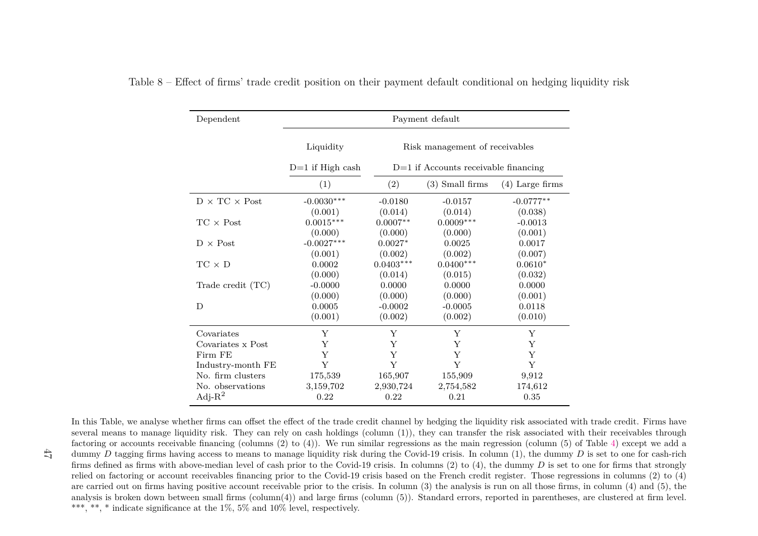| Dependent                 |                                             |                                        | Payment default        |                      |  |  |  |
|---------------------------|---------------------------------------------|----------------------------------------|------------------------|----------------------|--|--|--|
|                           | Liquidity<br>Risk management of receivables |                                        |                        |                      |  |  |  |
|                           | $D=1$ if High cash                          | $D=1$ if Accounts receivable financing |                        |                      |  |  |  |
|                           | (1)                                         | (2)                                    | $(3)$ Small firms      | $(4)$ Large firms    |  |  |  |
| $D \times TC \times Post$ | $-0.0030***$                                | $-0.0180$                              | $-0.0157$              | $-0.0777**$          |  |  |  |
| $TC \times Post$          | (0.001)<br>$0.0015***$                      | (0.014)<br>$0.0007**$                  | (0.014)<br>$0.0009***$ | (0.038)<br>$-0.0013$ |  |  |  |
| $D \times Post$           | (0.000)<br>$-0.0027***$                     | (0.000)<br>$0.0027*$                   | (0.000)<br>0.0025      | (0.001)<br>0.0017    |  |  |  |
| $TC \times D$             | (0.001)<br>0.0002                           | (0.002)<br>$0.0403***$                 | (0.002)<br>$0.0400***$ | (0.007)<br>$0.0610*$ |  |  |  |
|                           | (0.000)                                     | (0.014)<br>0.0000                      | (0.015)<br>0.0000      | (0.032)<br>0.0000    |  |  |  |
| Trade credit (TC)         | $-0.0000$<br>(0.000)                        | (0.000)                                | (0.000)                | (0.001)              |  |  |  |
| D                         | 0.0005<br>(0.001)                           | $-0.0002$<br>(0.002)                   | $-0.0005$<br>(0.002)   | 0.0118<br>(0.010)    |  |  |  |
| Covariates                | Y                                           | Y                                      | Y                      | Υ                    |  |  |  |
| Covariates x Post         | Y                                           | Y                                      | Y                      | Υ                    |  |  |  |
| Firm FE                   | Y                                           | Y                                      | Y                      | Y                    |  |  |  |
| Industry-month FE         | Y                                           | Y                                      | Y                      | Υ                    |  |  |  |
| No. firm clusters         | 175,539                                     | 165,907                                | 155,909                | 9,912                |  |  |  |
| No. observations          | 3,159,702                                   | 2,930,724                              | 2,754,582              | 174,612              |  |  |  |
| Adj- $R^2$                | 0.22                                        | 0.22                                   | 0.21                   | 0.35                 |  |  |  |

Table 8 – Effect of firms' trade credit position on their payment default conditional on hedging liquidity risk

In this Table, we analyse whether firms can offset the effect of the trade credit channel by hedging the liquidity risk associated with trade credit. Firms have several means to manage liquidity risk. They can rely on cash holdings (column (1)), they can transfer the risk associated with their receivables through factoring or accounts receivable financing (columns (2) to (4)). We run similar regressions as the main regression (column (5) of Table [4\)](#page-45-1) except we add <sup>a</sup>dummy *D* tagging firms having access to means to manage liquidity risk during the Covid-19 crisis. In column (1), the dummy *D* is set to one for cash-rich firms defined as firms with above-median level of cash prior to the Covid-19 crisis. In columns (2) to (4), the dummy *D* is set to one for firms that strongly relied on factoring or account receivables financing prior to the Covid-19 crisis based on the French credit register. Those regressions in columns (2) to (4)are carried out on firms having positive account receivable prior to the crisis. In column (3) the analysis is run on all those firms, in column (4) and (5), the analysis is broken down between small firms (column(4)) and large firms (column (5)). Standard errors, reported in parentheses, are clustered at firm level.\*\*\*, \*\*, \* indicate significance at the 1%, 5% and 10% level, respectively.

<span id="page-49-0"></span> $47$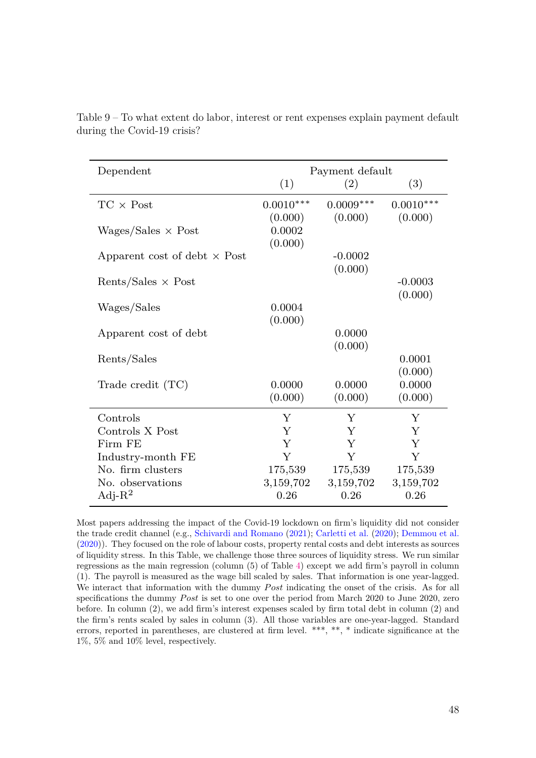| Dependent                           |                   | Payment default   |                   |
|-------------------------------------|-------------------|-------------------|-------------------|
|                                     | (1)               | (2)               | (3)               |
| $TC \times Post$                    | $0.0010***$       | $0.0009***$       | $0.0010***$       |
|                                     | (0.000)           | (0.000)           | (0.000)           |
| $Wages/Sales \times Post$           | 0.0002            |                   |                   |
| Apparent cost of debt $\times$ Post | (0.000)           | $-0.0002$         |                   |
|                                     |                   | (0.000)           |                   |
| Rents/Sales $\times$ Post           |                   |                   | $-0.0003$         |
|                                     |                   |                   | (0.000)           |
| Wages/Sales                         | 0.0004            |                   |                   |
| Apparent cost of debt               | (0.000)           | 0.0000            |                   |
|                                     |                   | (0.000)           |                   |
| Rents/Sales                         |                   |                   | 0.0001            |
|                                     |                   |                   | (0.000)           |
| Trade credit (TC)                   | 0.0000<br>(0.000) | 0.0000<br>(0.000) | 0.0000<br>(0.000) |
|                                     |                   |                   |                   |
| Controls                            | Y                 | Y                 | Y                 |
| Controls X Post                     | Y                 | Y                 | Y                 |
| Firm FE                             | Y                 | Y                 | Y                 |
| Industry-month FE                   | Y                 | Y                 | Y                 |
| No. firm clusters                   | 175,539           | 175,539           | 175,539           |
| No. observations                    | 3,159,702         | 3,159,702         | 3,159,702         |
| Adj- $R^2$                          | 0.26              | 0.26              | 0.26              |

<span id="page-50-0"></span>Table 9 – To what extent do labor, interest or rent expenses explain payment default during the Covid-19 crisis?

Most papers addressing the impact of the Covid-19 lockdown on firm's liquidity did not consider the trade credit channel (e.g., [Schivardi and Romano](#page-36-2) [\(2021\)](#page-36-2); [Carletti et al.](#page-35-7) [\(2020\)](#page-35-7); [Demmou et al.](#page-35-8) [\(2020\)](#page-35-8)). They focused on the role of labour costs, property rental costs and debt interests as sources of liquidity stress. In this Table, we challenge those three sources of liquidity stress. We run similar regressions as the main regression (column (5) of Table [4\)](#page-45-0) except we add firm's payroll in column (1). The payroll is measured as the wage bill scaled by sales. That information is one year-lagged. We interact that information with the dummy *Post* indicating the onset of the crisis. As for all specifications the dummy *Post* is set to one over the period from March 2020 to June 2020, zero before. In column (2), we add firm's interest expenses scaled by firm total debt in column (2) and the firm's rents scaled by sales in column (3). All those variables are one-year-lagged. Standard errors, reported in parentheses, are clustered at firm level. \*\*\*, \*\*, \* indicate significance at the 1%, 5% and 10% level, respectively.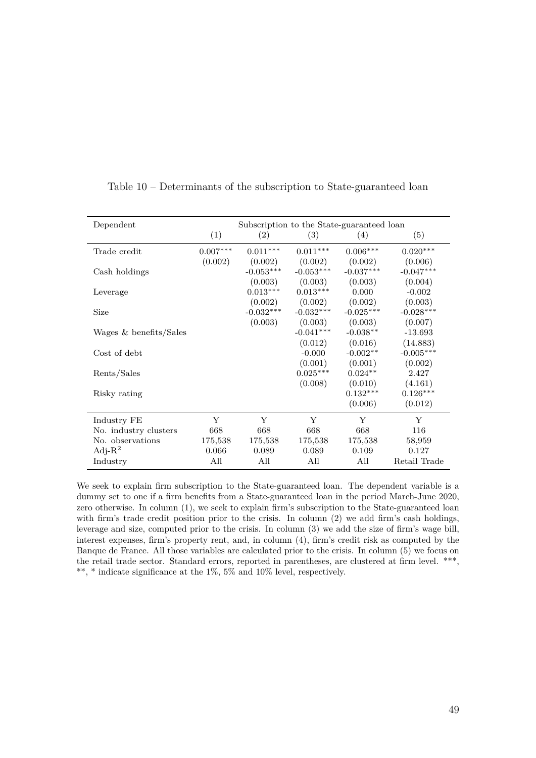| Dependent              | Subscription to the State-guaranteed loan |             |             |             |              |  |  |  |
|------------------------|-------------------------------------------|-------------|-------------|-------------|--------------|--|--|--|
|                        | (1)                                       | (2)         | (3)         | (4)         | (5)          |  |  |  |
| Trade credit           | $0.007***$                                | $0.011***$  | $0.011***$  | $0.006***$  | $0.020***$   |  |  |  |
|                        | (0.002)                                   | (0.002)     | (0.002)     | (0.002)     | (0.006)      |  |  |  |
| Cash holdings          |                                           | $-0.053***$ | $-0.053***$ | $-0.037***$ | $-0.047***$  |  |  |  |
|                        |                                           | (0.003)     | (0.003)     | (0.003)     | (0.004)      |  |  |  |
| Leverage               |                                           | $0.013***$  | $0.013***$  | 0.000       | $-0.002$     |  |  |  |
|                        |                                           | (0.002)     | (0.002)     | (0.002)     | (0.003)      |  |  |  |
| Size                   |                                           | $-0.032***$ | $-0.032***$ | $-0.025***$ | $-0.028***$  |  |  |  |
|                        |                                           | (0.003)     | (0.003)     | (0.003)     | (0.007)      |  |  |  |
| Wages & benefits/Sales |                                           |             | $-0.041***$ | $-0.038**$  | $-13.693$    |  |  |  |
|                        |                                           |             | (0.012)     | (0.016)     | (14.883)     |  |  |  |
| Cost of debt           |                                           |             | $-0.000$    | $-0.002**$  | $-0.005***$  |  |  |  |
|                        |                                           |             | (0.001)     | (0.001)     | (0.002)      |  |  |  |
| Rents/Sales            |                                           |             | $0.025***$  | $0.024**$   | 2.427        |  |  |  |
|                        |                                           |             | (0.008)     | (0.010)     | (4.161)      |  |  |  |
| Risky rating           |                                           |             |             | $0.132***$  | $0.126***$   |  |  |  |
|                        |                                           |             |             | (0.006)     | (0.012)      |  |  |  |
| Industry FE            | Y                                         | Y           | Y           | Y           | Y            |  |  |  |
| No. industry clusters  | 668                                       | 668         | 668         | 668         | 116          |  |  |  |
| No. observations       | 175,538                                   | 175,538     | 175,538     | 175,538     | 58,959       |  |  |  |
| Adj- $R^2$             | 0.066                                     | 0.089       | 0.089       | 0.109       | 0.127        |  |  |  |
| Industry               | All                                       | All         | All         | All         | Retail Trade |  |  |  |

<span id="page-51-0"></span>Table 10 – Determinants of the subscription to State-guaranteed loan

We seek to explain firm subscription to the State-guaranteed loan. The dependent variable is a dummy set to one if a firm benefits from a State-guaranteed loan in the period March-June 2020, zero otherwise. In column (1), we seek to explain firm's subscription to the State-guaranteed loan with firm's trade credit position prior to the crisis. In column (2) we add firm's cash holdings, leverage and size, computed prior to the crisis. In column (3) we add the size of firm's wage bill, interest expenses, firm's property rent, and, in column (4), firm's credit risk as computed by the Banque de France. All those variables are calculated prior to the crisis. In column (5) we focus on the retail trade sector. Standard errors, reported in parentheses, are clustered at firm level. \*\*\*, \*\*, \* indicate significance at the  $1\%$ ,  $5\%$  and  $10\%$  level, respectively.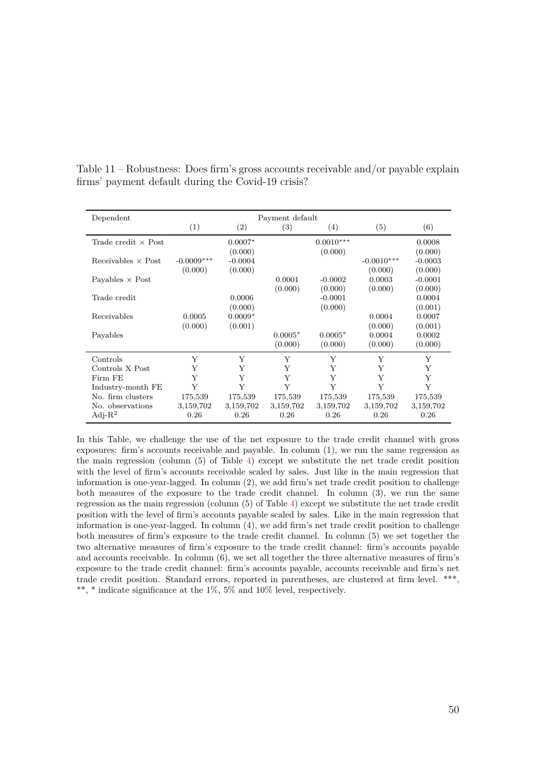| Dependent                  | Payment default |           |           |             |              |           |  |  |
|----------------------------|-----------------|-----------|-----------|-------------|--------------|-----------|--|--|
|                            | (1)             | (2)       | (3)       | (4)         | (5)          | (6)       |  |  |
| Trade credit $\times$ Post |                 | $0.0007*$ |           | $0.0010***$ |              | 0.0008    |  |  |
|                            |                 | (0.000)   |           | (0.000)     |              | (0.000)   |  |  |
| Receivables $\times$ Post  | $-0.0009***$    | $-0.0004$ |           |             | $-0.0010***$ | $-0.0003$ |  |  |
|                            | (0.000)         | (0.000)   |           |             | (0.000)      | (0.000)   |  |  |
| Payables $\times$ Post     |                 |           | 0.0001    | $-0.0002$   | 0.0003       | $-0.0001$ |  |  |
|                            |                 |           | (0.000)   | (0.000)     | (0.000)      | (0.000)   |  |  |
| Trade credit               |                 | 0.0006    |           | $-0.0001$   |              | 0.0004    |  |  |
|                            |                 | (0.000)   |           | (0.000)     |              | (0.001)   |  |  |
| Receivables                | 0.0005          | $0.0009*$ |           |             | 0.0004       | 0.0007    |  |  |
|                            | (0.000)         | (0.001)   |           |             | (0.000)      | (0.001)   |  |  |
| Payables                   |                 |           | $0.0005*$ | $0.0005*$   | 0.0004       | 0.0002    |  |  |
|                            |                 |           | (0.000)   | (0.000)     | (0.000)      | (0.000)   |  |  |
| Controls                   | Y               | Y         | Y         | Y           | Y            | Y         |  |  |
| Controls X Post            | Y               | Y         | Y         | Y           | Y            | Y         |  |  |
| Firm FE                    | Y               | Y         | Y         | Y           | Y            | Y         |  |  |
| Industry-month FE          | Y               | Y         | Y         | Y           | Y            | Y         |  |  |
| No. firm clusters          | 175,539         | 175,539   | 175,539   | 175,539     | 175,539      | 175,539   |  |  |
| No. observations           | 3,159,702       | 3,159,702 | 3,159,702 | 3,159,702   | 3,159,702    | 3,159,702 |  |  |
| Adj- $R^2$                 | 0.26            | 0.26      | 0.26      | 0.26        | 0.26         | 0.26      |  |  |

<span id="page-52-0"></span>Table 11 – Robustness: Does firm's gross accounts receivable and/or payable explain firms' payment default during the Covid-19 crisis?

In this Table, we challenge the use of the net exposure to the trade credit channel with gross exposures: firm's accounts receivable and payable. In column (1), we run the same regression as the main regression (column (5) of Table [4\)](#page-45-0) except we substitute the net trade credit position with the level of firm's accounts receivable scaled by sales. Just like in the main regression that information is one-year-lagged. In column (2), we add firm's net trade credit position to challenge both measures of the exposure to the trade credit channel. In column (3), we run the same regression as the main regression (column (5) of Table [4\)](#page-45-0) except we substitute the net trade credit position with the level of firm's accounts payable scaled by sales. Like in the main regression that information is one-year-lagged. In column (4), we add firm's net trade credit position to challenge both measures of firm's exposure to the trade credit channel. In column (5) we set together the two alternative measures of firm's exposure to the trade credit channel: firm's accounts payable and accounts receivable. In column (6), we set all together the three alternative measures of firm's exposure to the trade credit channel: firm's accounts payable, accounts receivable and firm's net trade credit position. Standard errors, reported in parentheses, are clustered at firm level. \*\*\*, \*\*, \* indicate significance at the 1%, 5% and 10% level, respectively.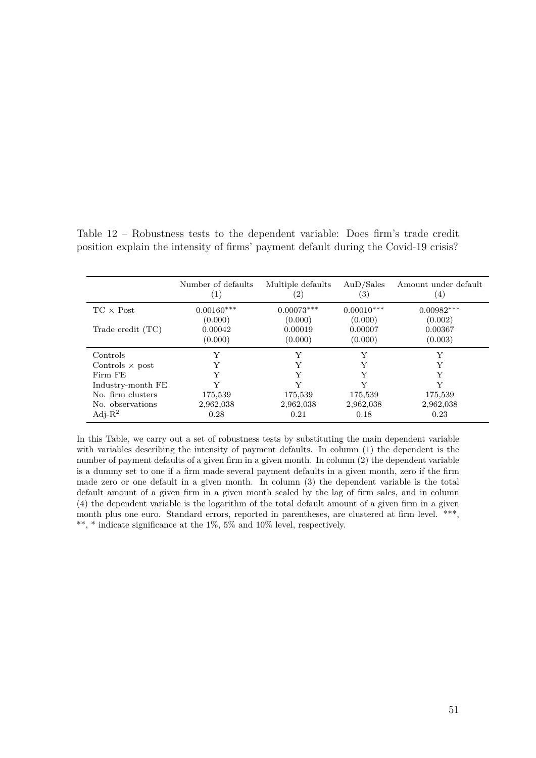|                        | Number of defaults<br>$\left( \begin{array}{c} \bot \end{array} \right)$ | Multiple defaults<br>$^{\prime}2)$ | Au <sub>D</sub> /Sales<br>$\left( 3\right)$ | Amount under default<br>$\left(4\right)$ |
|------------------------|--------------------------------------------------------------------------|------------------------------------|---------------------------------------------|------------------------------------------|
| $TC \times Post$       | $0.00160***$                                                             | $0.00073***$                       | $0.00010***$                                | $0.00982***$                             |
|                        | (0.000)                                                                  | (0.000)                            | (0.000)                                     | (0.002)                                  |
| Trade credit $(TC)$    | 0.00042                                                                  | 0.00019                            | 0.00007                                     | 0.00367                                  |
|                        | (0.000)                                                                  | (0.000)                            | (0.000)                                     | (0.003)                                  |
| Controls               | Y                                                                        | Y                                  |                                             | Y                                        |
| Controls $\times$ post | Y                                                                        |                                    |                                             |                                          |
| Firm FE                | Y                                                                        |                                    |                                             |                                          |
| Industry-month FE      | V                                                                        |                                    |                                             |                                          |
| No. firm clusters      | 175,539                                                                  | 175,539                            | 175,539                                     | 175,539                                  |
| No. observations       | 2,962,038                                                                | 2,962,038                          | 2,962,038                                   | 2,962,038                                |
| Adj- $R^2$             | 0.28                                                                     | 0.21                               | 0.18                                        | 0.23                                     |

<span id="page-53-0"></span>Table 12 – Robustness tests to the dependent variable: Does firm's trade credit position explain the intensity of firms' payment default during the Covid-19 crisis?

In this Table, we carry out a set of robustness tests by substituting the main dependent variable with variables describing the intensity of payment defaults. In column (1) the dependent is the number of payment defaults of a given firm in a given month. In column (2) the dependent variable is a dummy set to one if a firm made several payment defaults in a given month, zero if the firm made zero or one default in a given month. In column (3) the dependent variable is the total default amount of a given firm in a given month scaled by the lag of firm sales, and in column (4) the dependent variable is the logarithm of the total default amount of a given firm in a given month plus one euro. Standard errors, reported in parentheses, are clustered at firm level. \*\*\*, \*\*, \* indicate significance at the 1%, 5% and 10% level, respectively.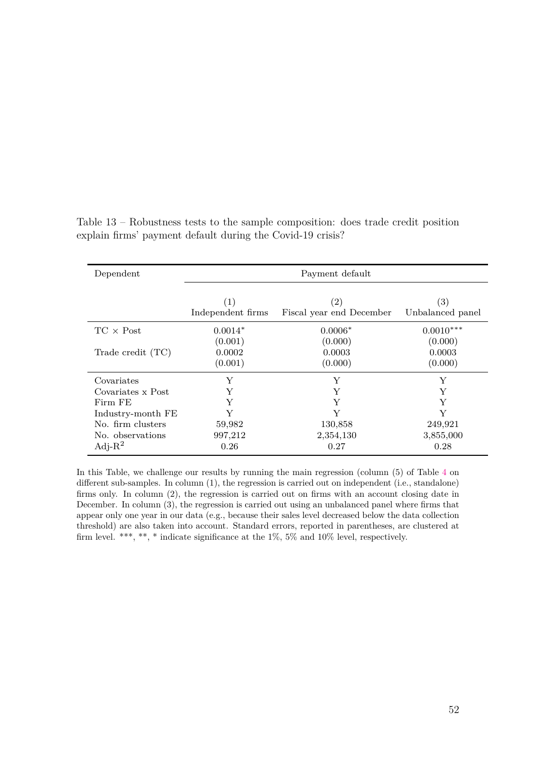| Dependent         | Payment default          |                                               |                                       |  |
|-------------------|--------------------------|-----------------------------------------------|---------------------------------------|--|
|                   | (1)<br>Independent firms | $\left( 2\right)$<br>Fiscal year end December | $\left( 3\right)$<br>Unbalanced panel |  |
| $TC \times Post$  | $0.0014*$                | $0.0006*$                                     | $0.0010***$                           |  |
|                   | (0.001)                  | (0.000)                                       | (0.000)                               |  |
| Trade credit (TC) | 0.0002                   | 0.0003                                        | 0.0003                                |  |
|                   | (0.001)                  | (0.000)                                       | (0.000)                               |  |
| Covariates        | Y                        | Y                                             | Y                                     |  |
| Covariates x Post | Y                        | Y                                             | Y                                     |  |
| Firm FE           | Y                        | Y                                             | Y                                     |  |
| Industry-month FE | Y                        | Y                                             | Y                                     |  |
| No. firm clusters | 59,982                   | 130,858                                       | 249,921                               |  |
| No. observations  | 997,212                  | 2,354,130                                     | 3,855,000                             |  |
| Adj- $R^2$        | 0.26                     | 0.27                                          | 0.28                                  |  |

<span id="page-54-0"></span>Table 13 – Robustness tests to the sample composition: does trade credit position explain firms' payment default during the Covid-19 crisis?

In this Table, we challenge our results by running the main regression (column (5) of Table [4](#page-45-0) on different sub-samples. In column (1), the regression is carried out on independent (i.e., standalone) firms only. In column (2), the regression is carried out on firms with an account closing date in December. In column (3), the regression is carried out using an unbalanced panel where firms that appear only one year in our data (e.g., because their sales level decreased below the data collection threshold) are also taken into account. Standard errors, reported in parentheses, are clustered at firm level. \*\*\*, \*\*, \* indicate significance at the  $1\%$ ,  $5\%$  and  $10\%$  level, respectively.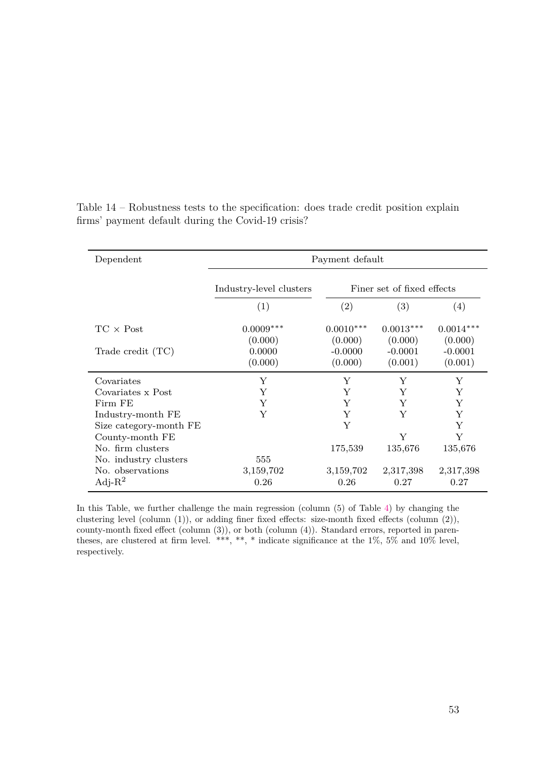| Dependent              | Payment default              |                                 |                                 |                                 |
|------------------------|------------------------------|---------------------------------|---------------------------------|---------------------------------|
|                        | Industry-level clusters      | Finer set of fixed effects      |                                 |                                 |
|                        | (1)                          | (2)                             | (3)                             | $\left( 4\right)$               |
| $TC \times Post$       | $0.0009***$                  | $0.0010***$                     | $0.0013***$                     | $0.0014***$                     |
| Trade credit (TC)      | (0.000)<br>0.0000<br>(0.000) | (0.000)<br>$-0.0000$<br>(0.000) | (0.000)<br>$-0.0001$<br>(0.001) | (0.000)<br>$-0.0001$<br>(0.001) |
| Covariates             | Y                            | Y                               | Y                               | Y                               |
| Covariates x Post      | Y                            | Y                               | Y                               | Y                               |
| Firm FE                | Y                            | Y                               | Y                               | Y                               |
| Industry-month FE      | Y                            | Y                               | Y                               | Y                               |
| Size category-month FE |                              | Y                               |                                 | Y                               |
| County-month FE        |                              |                                 | Y                               | Y                               |
| No. firm clusters      |                              | 175,539                         | 135,676                         | 135,676                         |
| No. industry clusters  | 555                          |                                 |                                 |                                 |
| No. observations       | 3,159,702                    | 3,159,702                       | 2,317,398                       | 2,317,398                       |
| Adj- $R^2$             | 0.26                         | 0.26                            | 0.27                            | 0.27                            |

<span id="page-55-0"></span>Table 14 – Robustness tests to the specification: does trade credit position explain firms' payment default during the Covid-19 crisis?

In this Table, we further challenge the main regression (column (5) of Table [4\)](#page-45-0) by changing the clustering level (column (1)), or adding finer fixed effects: size-month fixed effects (column (2)), county-month fixed effect (column (3)), or both (column (4)). Standard errors, reported in parentheses, are clustered at firm level. \*\*\*, \*\*, \* indicate significance at the  $1\%$ ,  $5\%$  and  $10\%$  level, respectively.